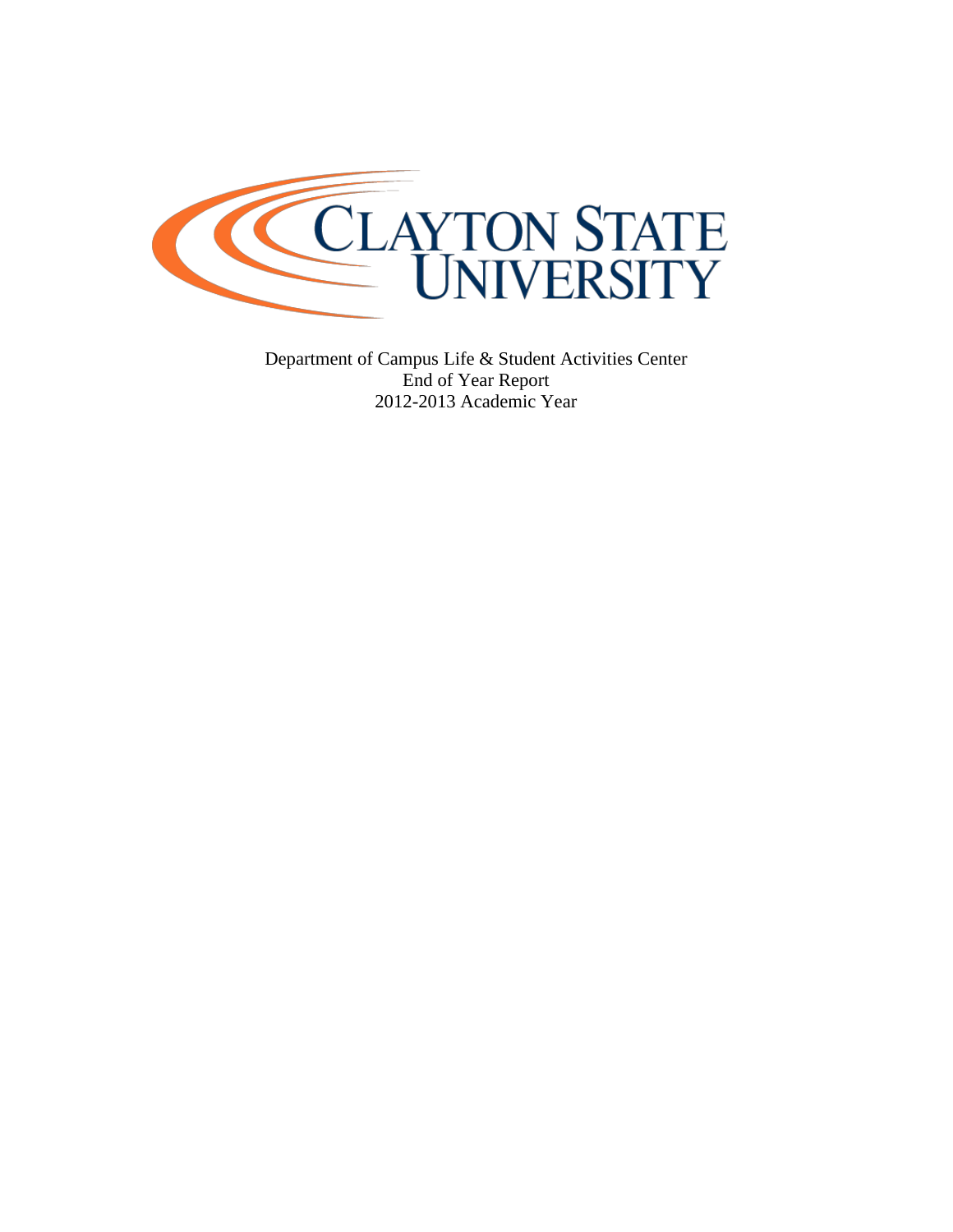

Department of Campus Life & Student Activities Center End of Year Report 2012-2013 Academic Year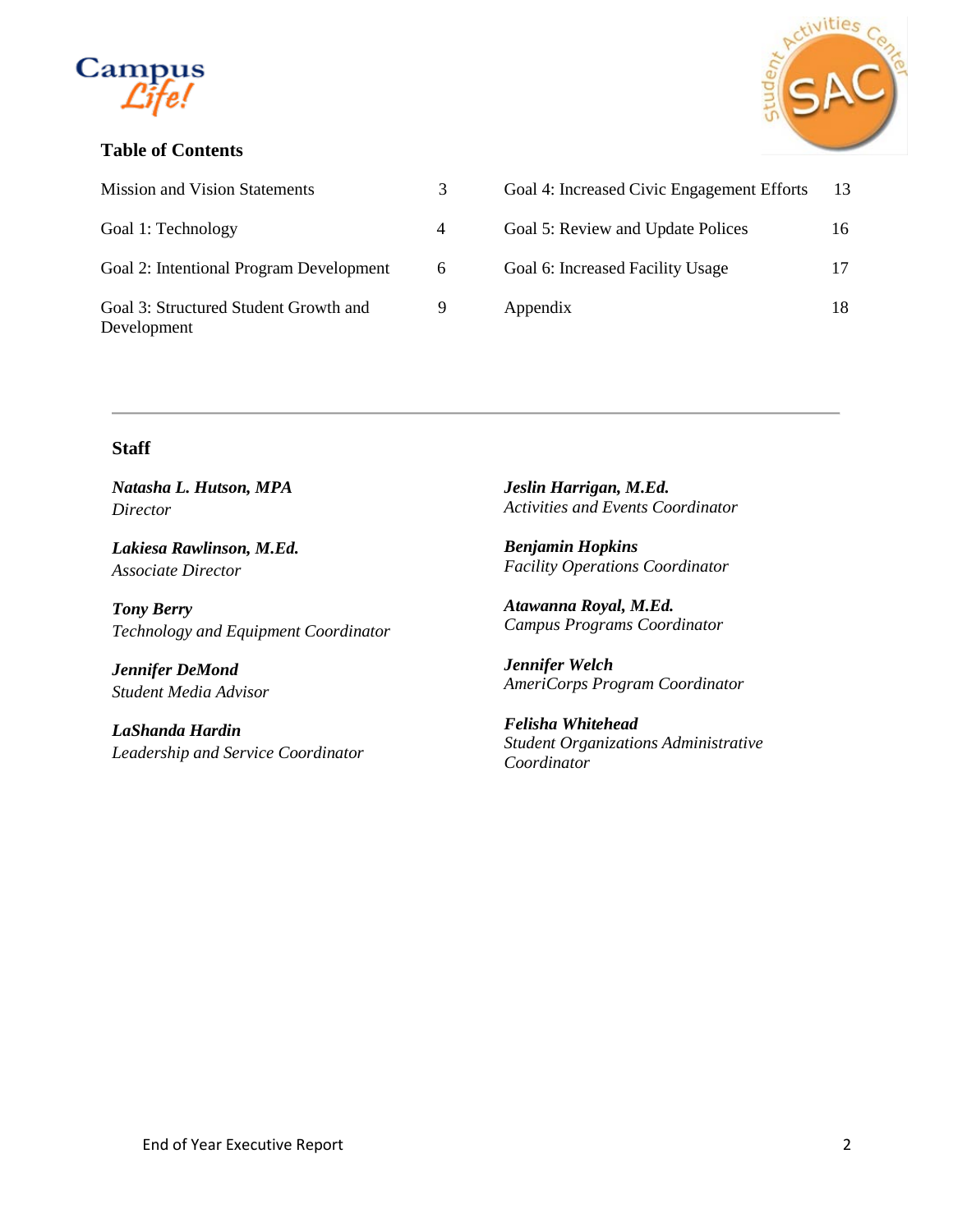



# **Table of Contents**

| <b>Mission and Vision Statements</b>                 |   |
|------------------------------------------------------|---|
| Goal 1: Technology                                   |   |
| Goal 2: Intentional Program Development              | 6 |
| Goal 3: Structured Student Growth and<br>Development |   |

| Goal 4: Increased Civic Engagement Efforts | 13 |
|--------------------------------------------|----|
| Goal 5: Review and Update Polices          | 16 |
| Goal 6: Increased Facility Usage           | 17 |
| Appendix                                   | 18 |

## **Staff**

*Natasha L. Hutson, MPA Director*

*Lakiesa Rawlinson, M.Ed. Associate Director*

*Tony Berry Technology and Equipment Coordinator*

*Jennifer DeMond Student Media Advisor*

*LaShanda Hardin Leadership and Service Coordinator* *Jeslin Harrigan, M.Ed. Activities and Events Coordinator*

*Benjamin Hopkins Facility Operations Coordinator*

*Atawanna Royal, M.Ed. Campus Programs Coordinator*

*Jennifer Welch AmeriCorps Program Coordinator*

*Felisha Whitehead Student Organizations Administrative Coordinator*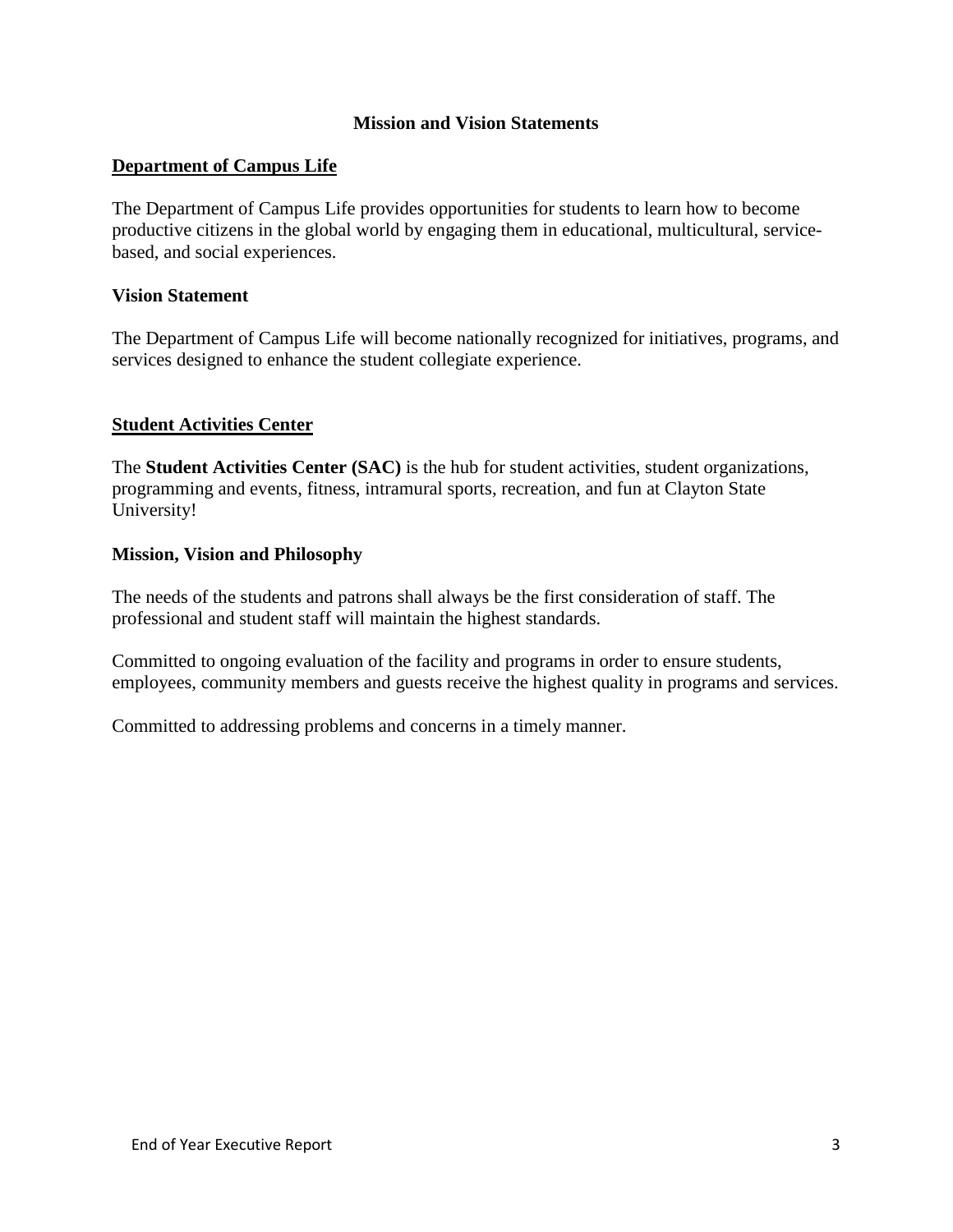## **Mission and Vision Statements**

## **Department of Campus Life**

The Department of Campus Life provides opportunities for students to learn how to become productive citizens in the global world by engaging them in educational, multicultural, servicebased, and social experiences.

#### **Vision Statement**

The Department of Campus Life will become nationally recognized for initiatives, programs, and services designed to enhance the student collegiate experience.

#### **Student Activities Center**

The **Student Activities Center (SAC)** is the hub for student activities, student organizations, programming and events, fitness, intramural sports, recreation, and fun at Clayton State University!

#### **Mission, Vision and Philosophy**

The needs of the students and patrons shall always be the first consideration of staff. The professional and student staff will maintain the highest standards.

Committed to ongoing evaluation of the facility and programs in order to ensure students, employees, community members and guests receive the highest quality in programs and services.

Committed to addressing problems and concerns in a timely manner.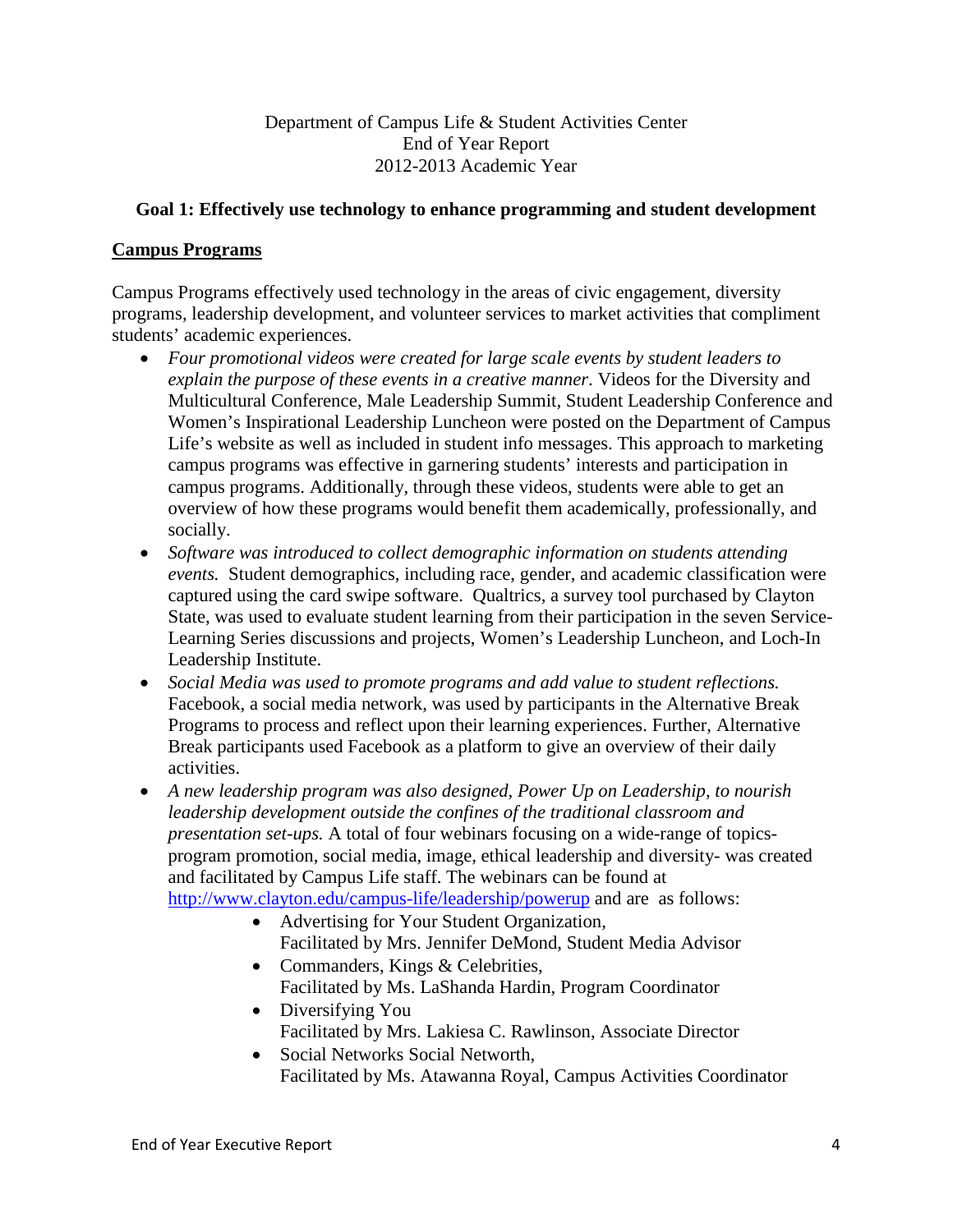## **Goal 1: Effectively use technology to enhance programming and student development**

## **Campus Programs**

Campus Programs effectively used technology in the areas of civic engagement, diversity programs, leadership development, and volunteer services to market activities that compliment students' academic experiences.

- *Four promotional videos were created for large scale events by student leaders to explain the purpose of these events in a creative manner*. Videos for the Diversity and Multicultural Conference, Male Leadership Summit, Student Leadership Conference and Women's Inspirational Leadership Luncheon were posted on the Department of Campus Life's website as well as included in student info messages. This approach to marketing campus programs was effective in garnering students' interests and participation in campus programs. Additionally, through these videos, students were able to get an overview of how these programs would benefit them academically, professionally, and socially.
- *Software was introduced to collect demographic information on students attending events.* Student demographics, including race, gender, and academic classification were captured using the card swipe software. Qualtrics, a survey tool purchased by Clayton State, was used to evaluate student learning from their participation in the seven Service-Learning Series discussions and projects, Women's Leadership Luncheon, and Loch-In Leadership Institute.
- *Social Media was used to promote programs and add value to student reflections.* Facebook, a social media network, was used by participants in the Alternative Break Programs to process and reflect upon their learning experiences. Further, Alternative Break participants used Facebook as a platform to give an overview of their daily activities.
- *A new leadership program was also designed, Power Up on Leadership, to nourish leadership development outside the confines of the traditional classroom and presentation set-ups.* A total of four webinars focusing on a wide-range of topicsprogram promotion, social media, image, ethical leadership and diversity- was created and facilitated by Campus Life staff. The webinars can be found at <http://www.clayton.edu/campus-life/leadership/powerup> and are as follows:
	- Advertising for Your Student Organization, Facilitated by Mrs. Jennifer DeMond, Student Media Advisor
	- Commanders, Kings & Celebrities, Facilitated by Ms. LaShanda Hardin, Program Coordinator
	- Diversifying You Facilitated by Mrs. Lakiesa C. Rawlinson, Associate Director
	- Social Networks Social Networth. Facilitated by Ms. Atawanna Royal, Campus Activities Coordinator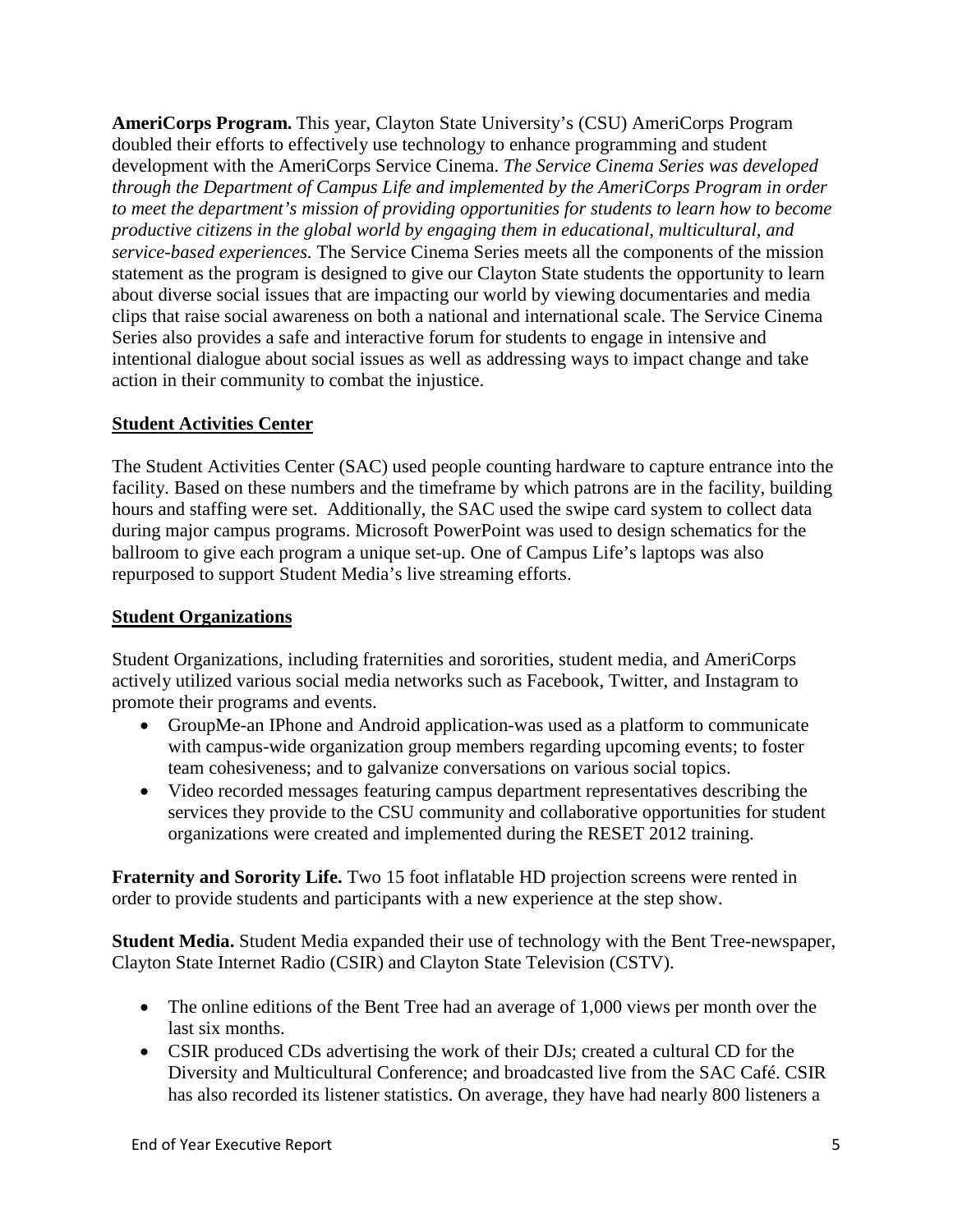**AmeriCorps Program.** This year, Clayton State University's (CSU) AmeriCorps Program doubled their efforts to effectively use technology to enhance programming and student development with the AmeriCorps Service Cinema. *The Service Cinema Series was developed through the Department of Campus Life and implemented by the AmeriCorps Program in order to meet the department's mission of providing opportunities for students to learn how to become productive citizens in the global world by engaging them in educational, multicultural, and service-based experiences.* The Service Cinema Series meets all the components of the mission statement as the program is designed to give our Clayton State students the opportunity to learn about diverse social issues that are impacting our world by viewing documentaries and media clips that raise social awareness on both a national and international scale. The Service Cinema Series also provides a safe and interactive forum for students to engage in intensive and intentional dialogue about social issues as well as addressing ways to impact change and take action in their community to combat the injustice.

## **Student Activities Center**

The Student Activities Center (SAC) used people counting hardware to capture entrance into the facility. Based on these numbers and the timeframe by which patrons are in the facility, building hours and staffing were set. Additionally, the SAC used the swipe card system to collect data during major campus programs. Microsoft PowerPoint was used to design schematics for the ballroom to give each program a unique set-up. One of Campus Life's laptops was also repurposed to support Student Media's live streaming efforts.

#### **Student Organizations**

Student Organizations, including fraternities and sororities, student media, and AmeriCorps actively utilized various social media networks such as Facebook, Twitter, and Instagram to promote their programs and events.

- GroupMe-an IPhone and Android application-was used as a platform to communicate with campus-wide organization group members regarding upcoming events; to foster team cohesiveness; and to galvanize conversations on various social topics.
- Video recorded messages featuring campus department representatives describing the services they provide to the CSU community and collaborative opportunities for student organizations were created and implemented during the RESET 2012 training.

**Fraternity and Sorority Life.** Two 15 foot inflatable HD projection screens were rented in order to provide students and participants with a new experience at the step show.

**Student Media.** Student Media expanded their use of technology with the Bent Tree-newspaper, Clayton State Internet Radio (CSIR) and Clayton State Television (CSTV).

- The online editions of the Bent Tree had an average of 1,000 views per month over the last six months.
- CSIR produced CDs advertising the work of their DJs; created a cultural CD for the Diversity and Multicultural Conference; and broadcasted live from the SAC Café. CSIR has also recorded its listener statistics. On average, they have had nearly 800 listeners a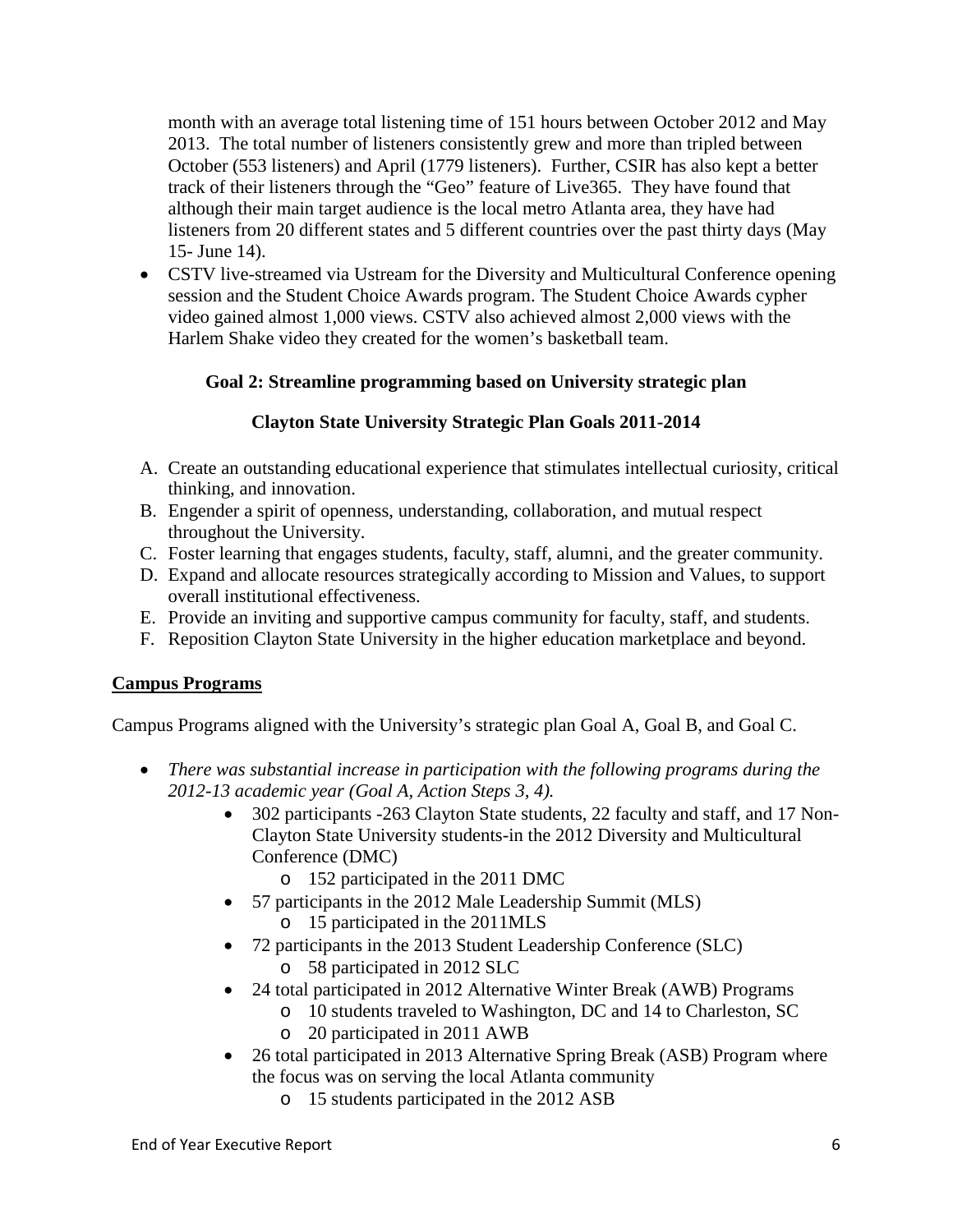month with an average total listening time of 151 hours between October 2012 and May 2013. The total number of listeners consistently grew and more than tripled between October (553 listeners) and April (1779 listeners). Further, CSIR has also kept a better track of their listeners through the "Geo" feature of Live365. They have found that although their main target audience is the local metro Atlanta area, they have had listeners from 20 different states and 5 different countries over the past thirty days (May 15- June 14).

• CSTV live-streamed via Ustream for the Diversity and Multicultural Conference opening session and the Student Choice Awards program. The Student Choice Awards cypher video gained almost 1,000 views. CSTV also achieved almost 2,000 views with the Harlem Shake video they created for the women's basketball team.

# **Goal 2: Streamline programming based on University strategic plan**

# **Clayton State University Strategic Plan Goals 2011-2014**

- A. Create an outstanding educational experience that stimulates intellectual curiosity, critical thinking, and innovation.
- B. Engender a spirit of openness, understanding, collaboration, and mutual respect throughout the University.
- C. Foster learning that engages students, faculty, staff, alumni, and the greater community.
- D. Expand and allocate resources strategically according to Mission and Values, to support overall institutional effectiveness.
- E. Provide an inviting and supportive campus community for faculty, staff, and students.
- F. Reposition Clayton State University in the higher education marketplace and beyond.

## **Campus Programs**

Campus Programs aligned with the University's strategic plan Goal A, Goal B, and Goal C.

- *There was substantial increase in participation with the following programs during the 2012-13 academic year (Goal A, Action Steps 3, 4).* 
	- 302 participants -263 Clayton State students, 22 faculty and staff, and 17 Non-Clayton State University students-in the 2012 Diversity and Multicultural Conference (DMC)
		- o 152 participated in the 2011 DMC
	- 57 participants in the 2012 Male Leadership Summit (MLS) o 15 participated in the 2011MLS
	- 72 participants in the 2013 Student Leadership Conference (SLC) o 58 participated in 2012 SLC
	- 24 total participated in 2012 Alternative Winter Break (AWB) Programs
		- o 10 students traveled to Washington, DC and 14 to Charleston, SC
		- o 20 participated in 2011 AWB
	- 26 total participated in 2013 Alternative Spring Break (ASB) Program where the focus was on serving the local Atlanta community
		- o 15 students participated in the 2012 ASB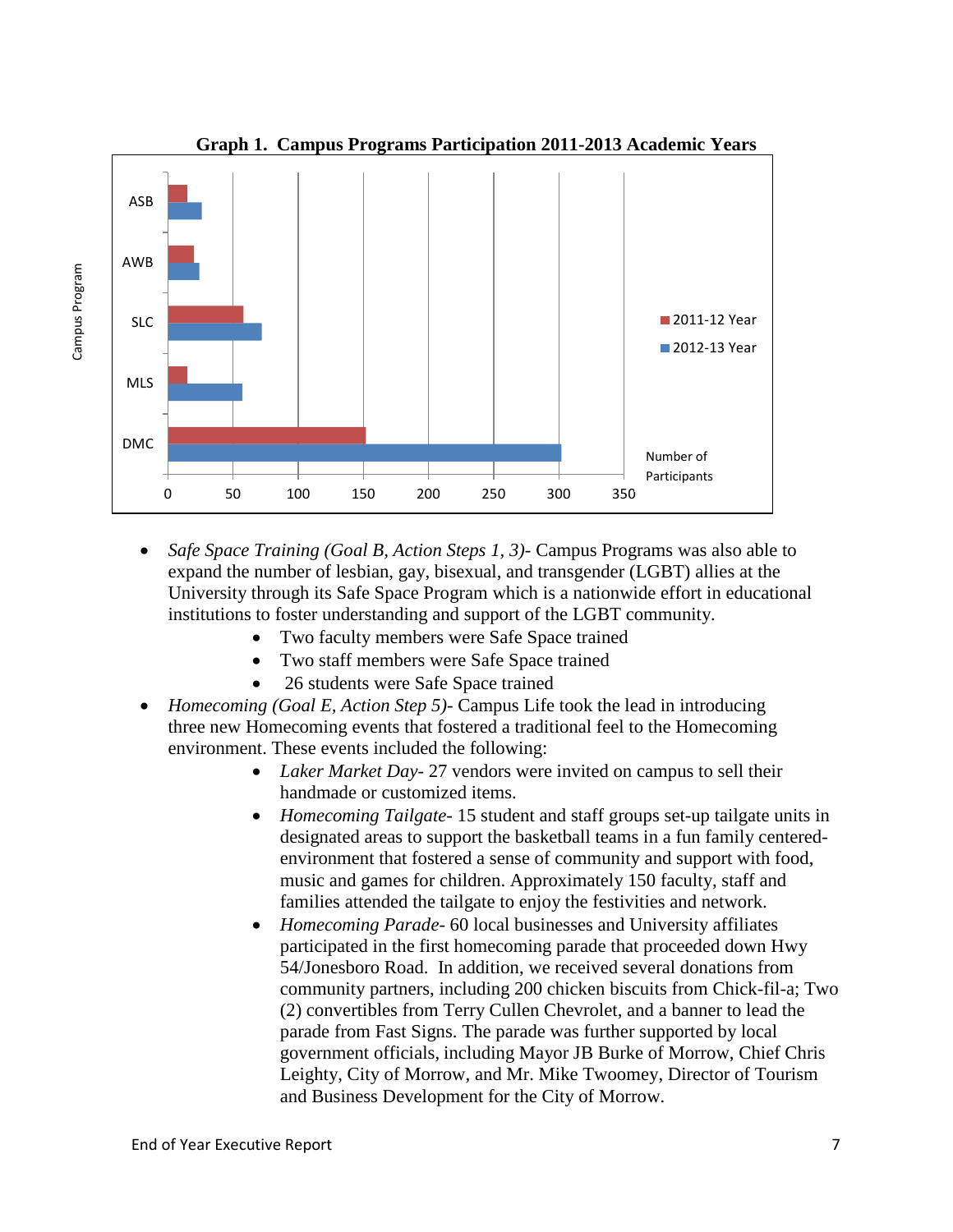

**Graph 1. Campus Programs Participation 2011-2013 Academic Years**

- *Safe Space Training (Goal B, Action Steps 1, 3)* Campus Programs was also able to expand the number of lesbian, gay, bisexual, and transgender (LGBT) allies at the University through its Safe Space Program which is a nationwide effort in educational institutions to foster understanding and support of the LGBT community.
	- Two faculty members were Safe Space trained
	- Two staff members were Safe Space trained
	- 26 students were Safe Space trained
- *Homecoming (Goal E, Action Step 5)* Campus Life took the lead in introducing three new Homecoming events that fostered a traditional feel to the Homecoming environment. These events included the following:
	- *Laker Market Day* 27 vendors were invited on campus to sell their handmade or customized items.
	- *Homecoming Tailgate* 15 student and staff groups set-up tailgate units in designated areas to support the basketball teams in a fun family centeredenvironment that fostered a sense of community and support with food, music and games for children. Approximately 150 faculty, staff and families attended the tailgate to enjoy the festivities and network.
	- *Homecoming Parade* 60 local businesses and University affiliates participated in the first homecoming parade that proceeded down Hwy 54/Jonesboro Road. In addition, we received several donations from community partners, including 200 chicken biscuits from Chick-fil-a; Two (2) convertibles from Terry Cullen Chevrolet, and a banner to lead the parade from Fast Signs. The parade was further supported by local government officials, including Mayor JB Burke of Morrow, Chief Chris Leighty, City of Morrow, and Mr. Mike Twoomey, Director of Tourism and Business Development for the City of Morrow.

Campus Program Campus Program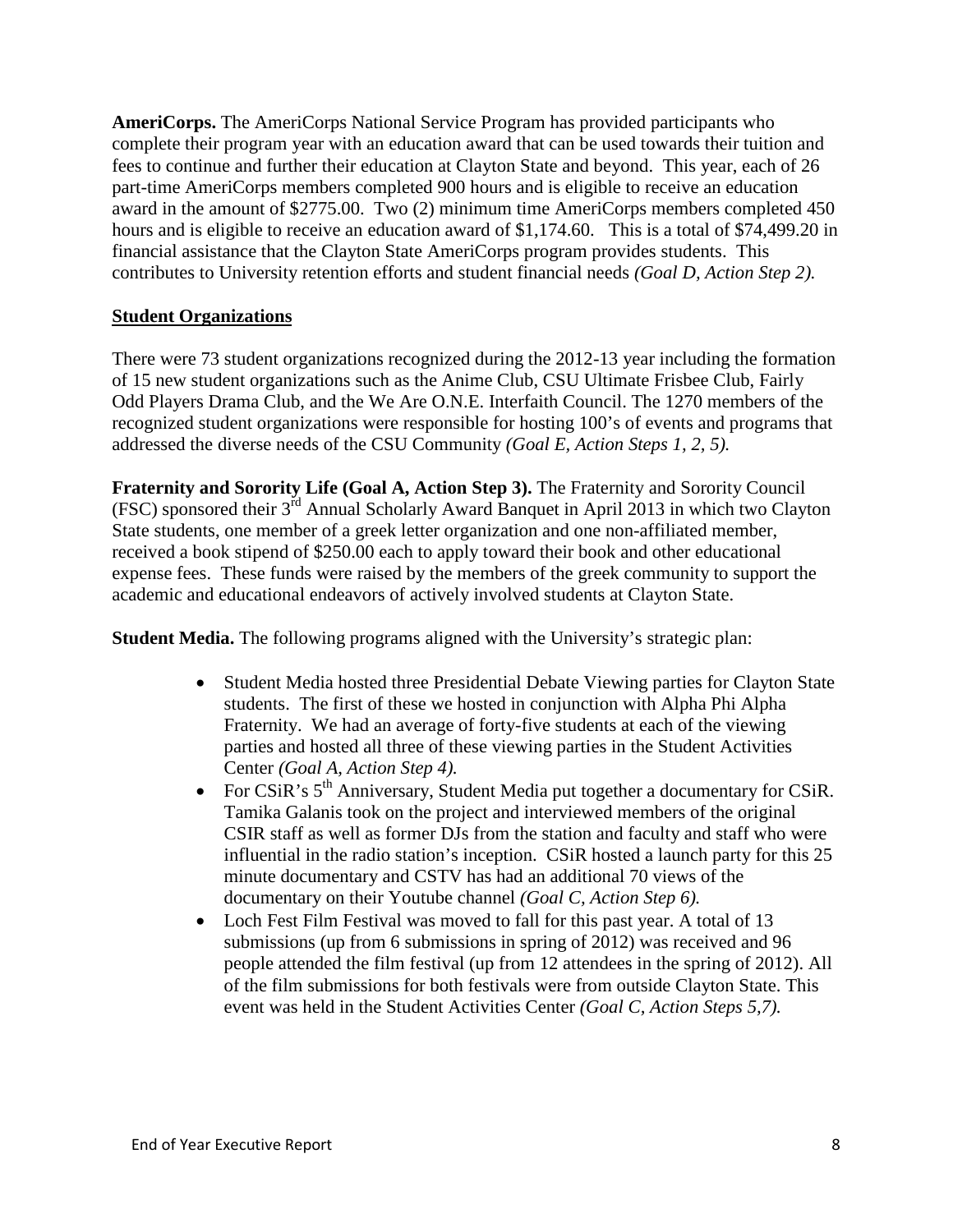**AmeriCorps.** The AmeriCorps National Service Program has provided participants who complete their program year with an education award that can be used towards their tuition and fees to continue and further their education at Clayton State and beyond. This year, each of 26 part-time AmeriCorps members completed 900 hours and is eligible to receive an education award in the amount of \$2775.00. Two (2) minimum time AmeriCorps members completed 450 hours and is eligible to receive an education award of \$1,174.60. This is a total of \$74,499.20 in financial assistance that the Clayton State AmeriCorps program provides students. This contributes to University retention efforts and student financial needs *(Goal D, Action Step 2).*

## **Student Organizations**

There were 73 student organizations recognized during the 2012-13 year including the formation of 15 new student organizations such as the Anime Club, CSU Ultimate Frisbee Club, Fairly Odd Players Drama Club, and the We Are O.N.E. Interfaith Council. The 1270 members of the recognized student organizations were responsible for hosting 100's of events and programs that addressed the diverse needs of the CSU Community *(Goal E, Action Steps 1, 2, 5).*

**Fraternity and Sorority Life (Goal A, Action Step 3).** The Fraternity and Sorority Council (FSC) sponsored their 3rd Annual Scholarly Award Banquet in April 2013 in which two Clayton State students, one member of a greek letter organization and one non-affiliated member, received a book stipend of \$250.00 each to apply toward their book and other educational expense fees. These funds were raised by the members of the greek community to support the academic and educational endeavors of actively involved students at Clayton State.

**Student Media.** The following programs aligned with the University's strategic plan:

- Student Media hosted three Presidential Debate Viewing parties for Clayton State students. The first of these we hosted in conjunction with Alpha Phi Alpha Fraternity. We had an average of forty-five students at each of the viewing parties and hosted all three of these viewing parties in the Student Activities Center *(Goal A, Action Step 4).*
- For CSiR's 5<sup>th</sup> Anniversary, Student Media put together a documentary for CSiR. Tamika Galanis took on the project and interviewed members of the original CSIR staff as well as former DJs from the station and faculty and staff who were influential in the radio station's inception. CSiR hosted a launch party for this 25 minute documentary and CSTV has had an additional 70 views of the documentary on their Youtube channel *(Goal C, Action Step 6).*
- Loch Fest Film Festival was moved to fall for this past year. A total of 13 submissions (up from 6 submissions in spring of 2012) was received and 96 people attended the film festival (up from 12 attendees in the spring of 2012). All of the film submissions for both festivals were from outside Clayton State. This event was held in the Student Activities Center *(Goal C, Action Steps 5,7).*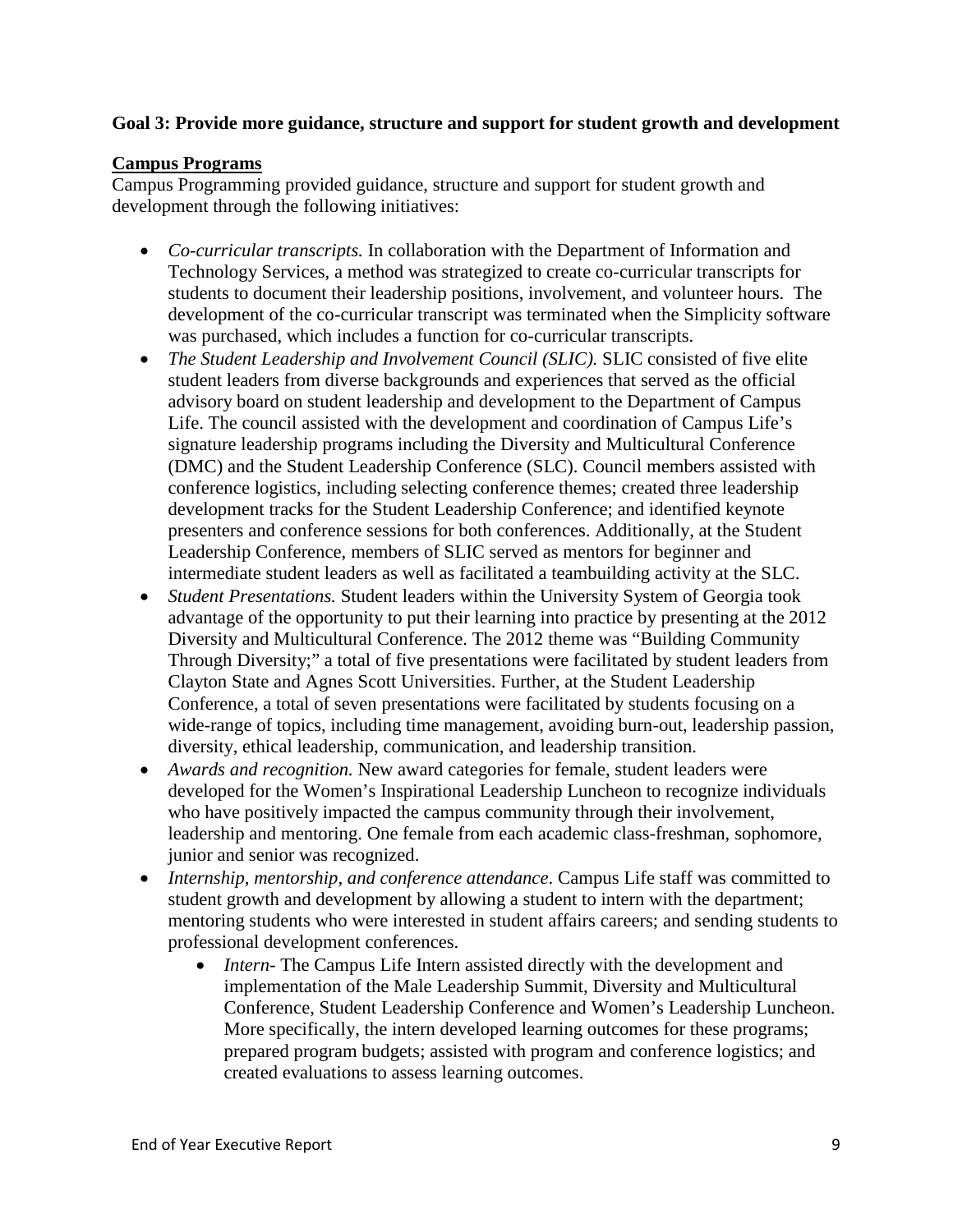### **Goal 3: Provide more guidance, structure and support for student growth and development**

## **Campus Programs**

Campus Programming provided guidance, structure and support for student growth and development through the following initiatives:

- *Co-curricular transcripts.* In collaboration with the Department of Information and Technology Services, a method was strategized to create co-curricular transcripts for students to document their leadership positions, involvement, and volunteer hours. The development of the co-curricular transcript was terminated when the Simplicity software was purchased, which includes a function for co-curricular transcripts.
- *The Student Leadership and Involvement Council (SLIC).* SLIC consisted of five elite student leaders from diverse backgrounds and experiences that served as the official advisory board on student leadership and development to the Department of Campus Life. The council assisted with the development and coordination of Campus Life's signature leadership programs including the Diversity and Multicultural Conference (DMC) and the Student Leadership Conference (SLC). Council members assisted with conference logistics, including selecting conference themes; created three leadership development tracks for the Student Leadership Conference; and identified keynote presenters and conference sessions for both conferences. Additionally, at the Student Leadership Conference, members of SLIC served as mentors for beginner and intermediate student leaders as well as facilitated a teambuilding activity at the SLC.
- *Student Presentations.* Student leaders within the University System of Georgia took advantage of the opportunity to put their learning into practice by presenting at the 2012 Diversity and Multicultural Conference. The 2012 theme was "Building Community Through Diversity;" a total of five presentations were facilitated by student leaders from Clayton State and Agnes Scott Universities. Further, at the Student Leadership Conference, a total of seven presentations were facilitated by students focusing on a wide-range of topics, including time management, avoiding burn-out, leadership passion, diversity, ethical leadership, communication, and leadership transition.
- *Awards and recognition.* New award categories for female, student leaders were developed for the Women's Inspirational Leadership Luncheon to recognize individuals who have positively impacted the campus community through their involvement, leadership and mentoring. One female from each academic class-freshman, sophomore, junior and senior was recognized.
- *Internship, mentorship, and conference attendance*. Campus Life staff was committed to student growth and development by allowing a student to intern with the department; mentoring students who were interested in student affairs careers; and sending students to professional development conferences.
	- *Intern-* The Campus Life Intern assisted directly with the development and implementation of the Male Leadership Summit, Diversity and Multicultural Conference, Student Leadership Conference and Women's Leadership Luncheon. More specifically, the intern developed learning outcomes for these programs; prepared program budgets; assisted with program and conference logistics; and created evaluations to assess learning outcomes.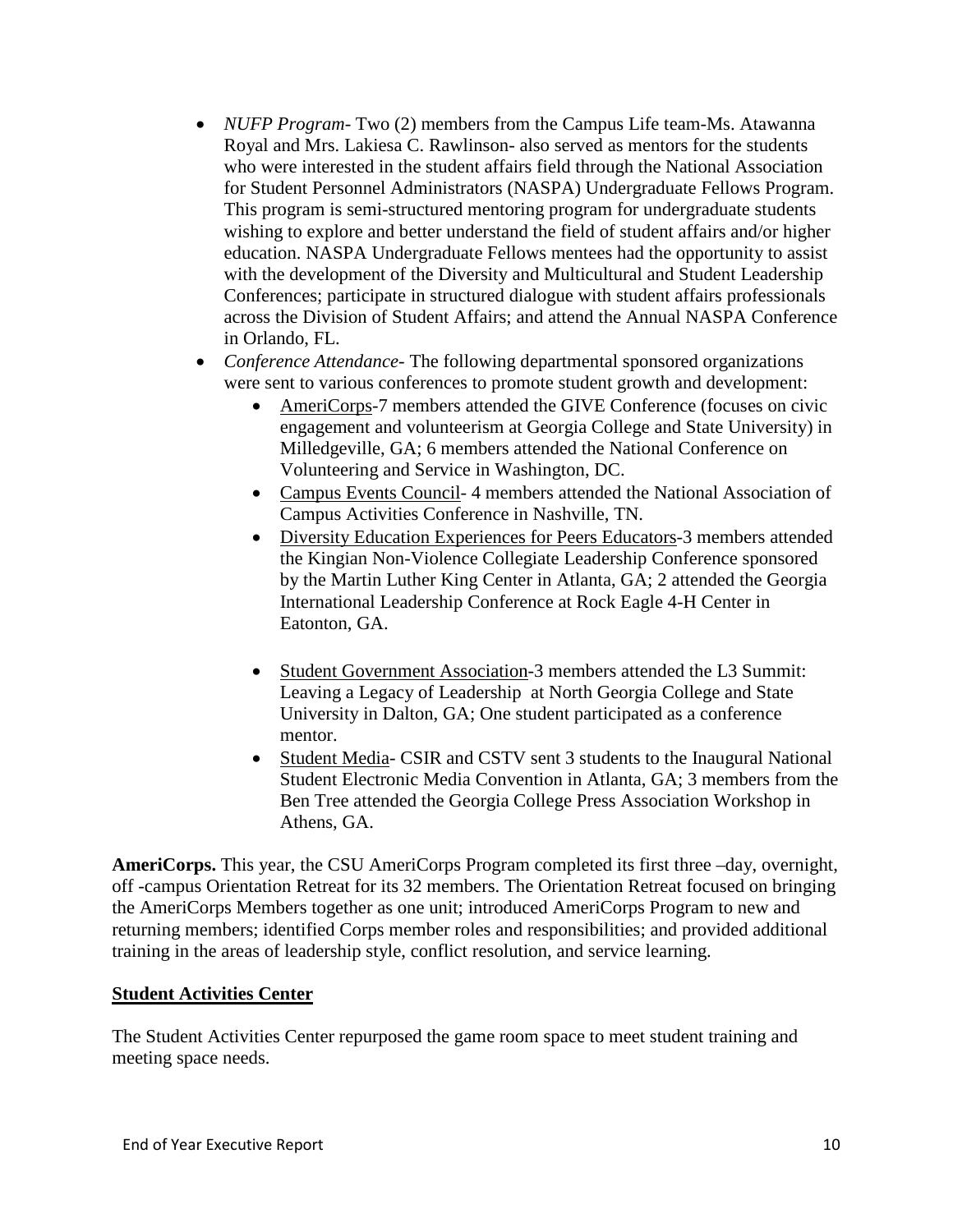- *NUFP Program-* Two (2) members from the Campus Life team-Ms. Atawanna Royal and Mrs. Lakiesa C. Rawlinson- also served as mentors for the students who were interested in the student affairs field through the National Association for Student Personnel Administrators (NASPA) Undergraduate Fellows Program. This program is semi-structured mentoring program for undergraduate students wishing to explore and better understand the field of student affairs and/or higher education. NASPA Undergraduate Fellows mentees had the opportunity to assist with the development of the Diversity and Multicultural and Student Leadership Conferences; participate in structured dialogue with student affairs professionals across the Division of Student Affairs; and attend the Annual NASPA Conference in Orlando, FL.
- *Conference Attendance* The following departmental sponsored organizations were sent to various conferences to promote student growth and development:
	- AmeriCorps-7 members attended the GIVE Conference (focuses on civic engagement and volunteerism at Georgia College and State University) in Milledgeville, GA; 6 members attended the National Conference on Volunteering and Service in Washington, DC.
	- Campus Events Council- 4 members attended the National Association of Campus Activities Conference in Nashville, TN.
	- Diversity Education Experiences for Peers Educators-3 members attended the Kingian Non-Violence Collegiate Leadership Conference sponsored by the Martin Luther King Center in Atlanta, GA; 2 attended the Georgia International Leadership Conference at Rock Eagle 4-H Center in Eatonton, GA.
	- Student Government Association-3 members attended the L3 Summit: Leaving a Legacy of Leadership at North Georgia College and State University in Dalton, GA; One student participated as a conference mentor.
	- Student Media- CSIR and CSTV sent 3 students to the Inaugural National Student Electronic Media Convention in Atlanta, GA; 3 members from the Ben Tree attended the Georgia College Press Association Workshop in Athens, GA.

**AmeriCorps.** This year, the CSU AmeriCorps Program completed its first three –day, overnight, off -campus Orientation Retreat for its 32 members. The Orientation Retreat focused on bringing the AmeriCorps Members together as one unit; introduced AmeriCorps Program to new and returning members; identified Corps member roles and responsibilities; and provided additional training in the areas of leadership style, conflict resolution, and service learning.

#### **Student Activities Center**

The Student Activities Center repurposed the game room space to meet student training and meeting space needs.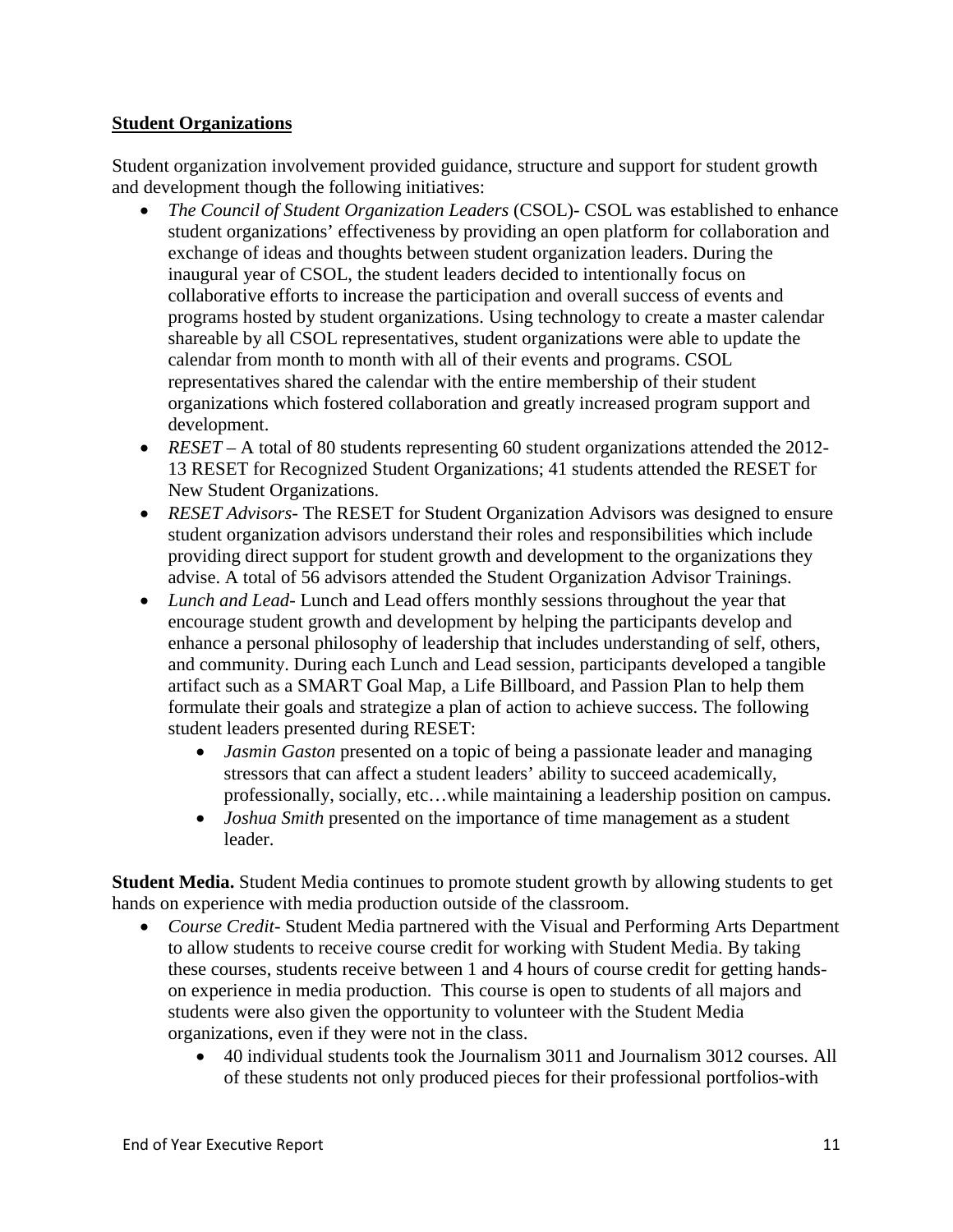## **Student Organizations**

Student organization involvement provided guidance, structure and support for student growth and development though the following initiatives:

- *The Council of Student Organization Leaders* (CSOL)- CSOL was established to enhance student organizations' effectiveness by providing an open platform for collaboration and exchange of ideas and thoughts between student organization leaders. During the inaugural year of CSOL, the student leaders decided to intentionally focus on collaborative efforts to increase the participation and overall success of events and programs hosted by student organizations. Using technology to create a master calendar shareable by all CSOL representatives, student organizations were able to update the calendar from month to month with all of their events and programs. CSOL representatives shared the calendar with the entire membership of their student organizations which fostered collaboration and greatly increased program support and development.
- *RESET* A total of 80 students representing 60 student organizations attended the 2012-13 RESET for Recognized Student Organizations; 41 students attended the RESET for New Student Organizations.
- *RESET Advisors* The RESET for Student Organization Advisors was designed to ensure student organization advisors understand their roles and responsibilities which include providing direct support for student growth and development to the organizations they advise. A total of 56 advisors attended the Student Organization Advisor Trainings.
- *Lunch and Lead-* Lunch and Lead offers monthly sessions throughout the year that encourage student growth and development by helping the participants develop and enhance a personal philosophy of leadership that includes understanding of self, others, and community. During each Lunch and Lead session, participants developed a tangible artifact such as a SMART Goal Map, a Life Billboard, and Passion Plan to help them formulate their goals and strategize a plan of action to achieve success. The following student leaders presented during RESET:
	- *Jasmin Gaston* presented on a topic of being a passionate leader and managing stressors that can affect a student leaders' ability to succeed academically, professionally, socially, etc…while maintaining a leadership position on campus.
	- *Joshua Smith* presented on the importance of time management as a student leader.

**Student Media.** Student Media continues to promote student growth by allowing students to get hands on experience with media production outside of the classroom.

- *Course Credit* Student Media partnered with the Visual and Performing Arts Department to allow students to receive course credit for working with Student Media. By taking these courses, students receive between 1 and 4 hours of course credit for getting handson experience in media production. This course is open to students of all majors and students were also given the opportunity to volunteer with the Student Media organizations, even if they were not in the class.
	- 40 individual students took the Journalism 3011 and Journalism 3012 courses. All of these students not only produced pieces for their professional portfolios-with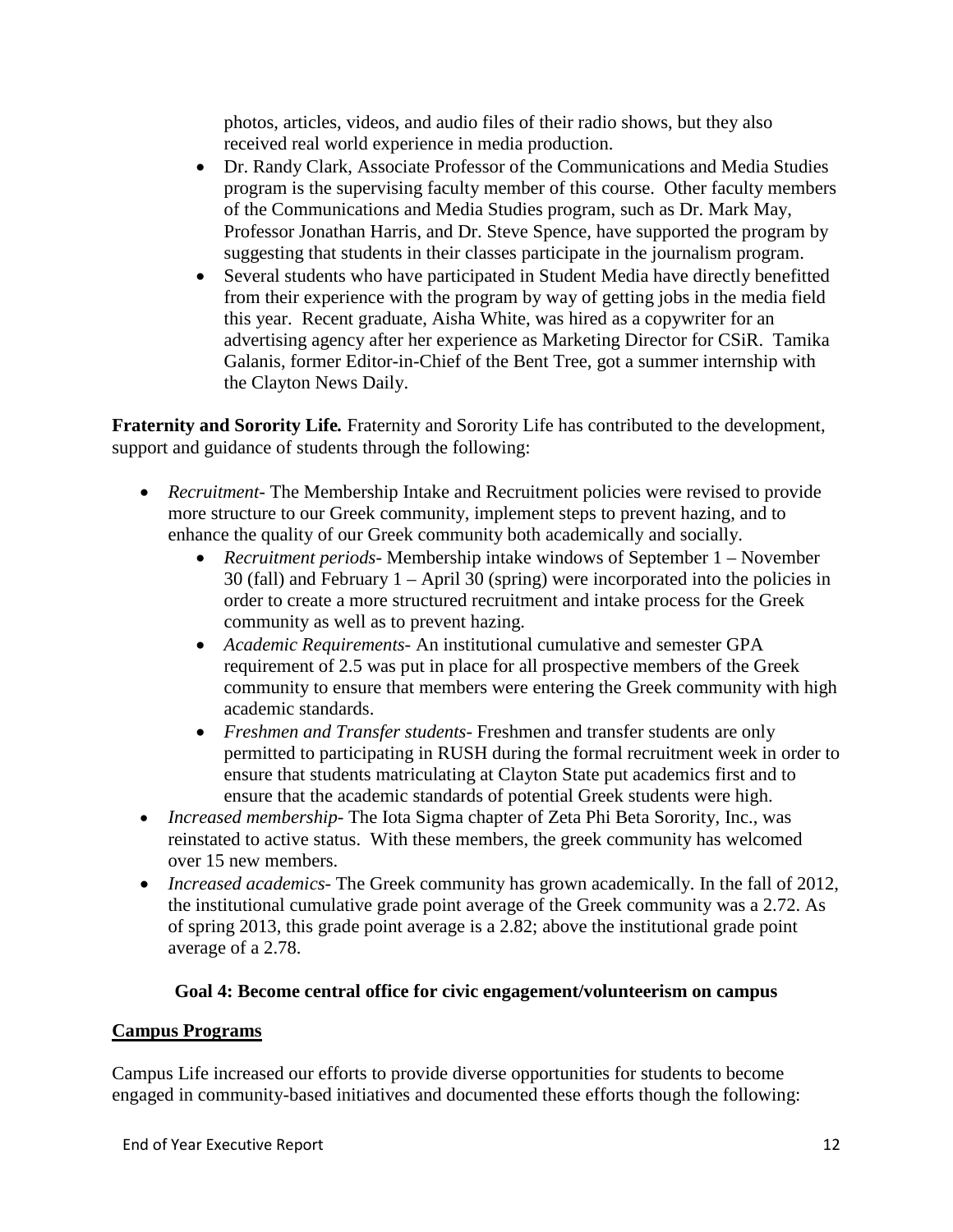photos, articles, videos, and audio files of their radio shows, but they also received real world experience in media production.

- Dr. Randy Clark, Associate Professor of the Communications and Media Studies program is the supervising faculty member of this course. Other faculty members of the Communications and Media Studies program, such as Dr. Mark May, Professor Jonathan Harris, and Dr. Steve Spence, have supported the program by suggesting that students in their classes participate in the journalism program.
- Several students who have participated in Student Media have directly benefitted from their experience with the program by way of getting jobs in the media field this year. Recent graduate, Aisha White, was hired as a copywriter for an advertising agency after her experience as Marketing Director for CSiR. Tamika Galanis, former Editor-in-Chief of the Bent Tree, got a summer internship with the Clayton News Daily.

**Fraternity and Sorority Life***.* Fraternity and Sorority Life has contributed to the development, support and guidance of students through the following:

- *Recruitment*-The Membership Intake and Recruitment policies were revised to provide more structure to our Greek community, implement steps to prevent hazing, and to enhance the quality of our Greek community both academically and socially.
	- *Recruitment periods-* Membership intake windows of September 1 November 30 (fall) and February 1 – April 30 (spring) were incorporated into the policies in order to create a more structured recruitment and intake process for the Greek community as well as to prevent hazing.
	- *Academic Requirements-* An institutional cumulative and semester GPA requirement of 2.5 was put in place for all prospective members of the Greek community to ensure that members were entering the Greek community with high academic standards.
	- *Freshmen and Transfer students-* Freshmen and transfer students are only permitted to participating in RUSH during the formal recruitment week in order to ensure that students matriculating at Clayton State put academics first and to ensure that the academic standards of potential Greek students were high.
- *Increased membership* The Iota Sigma chapter of Zeta Phi Beta Sorority, Inc., was reinstated to active status. With these members, the greek community has welcomed over 15 new members.
- *Increased academics-* The Greek community has grown academically. In the fall of 2012, the institutional cumulative grade point average of the Greek community was a 2.72. As of spring 2013, this grade point average is a 2.82; above the institutional grade point average of a 2.78.

## **Goal 4: Become central office for civic engagement/volunteerism on campus**

## **Campus Programs**

Campus Life increased our efforts to provide diverse opportunities for students to become engaged in community-based initiatives and documented these efforts though the following: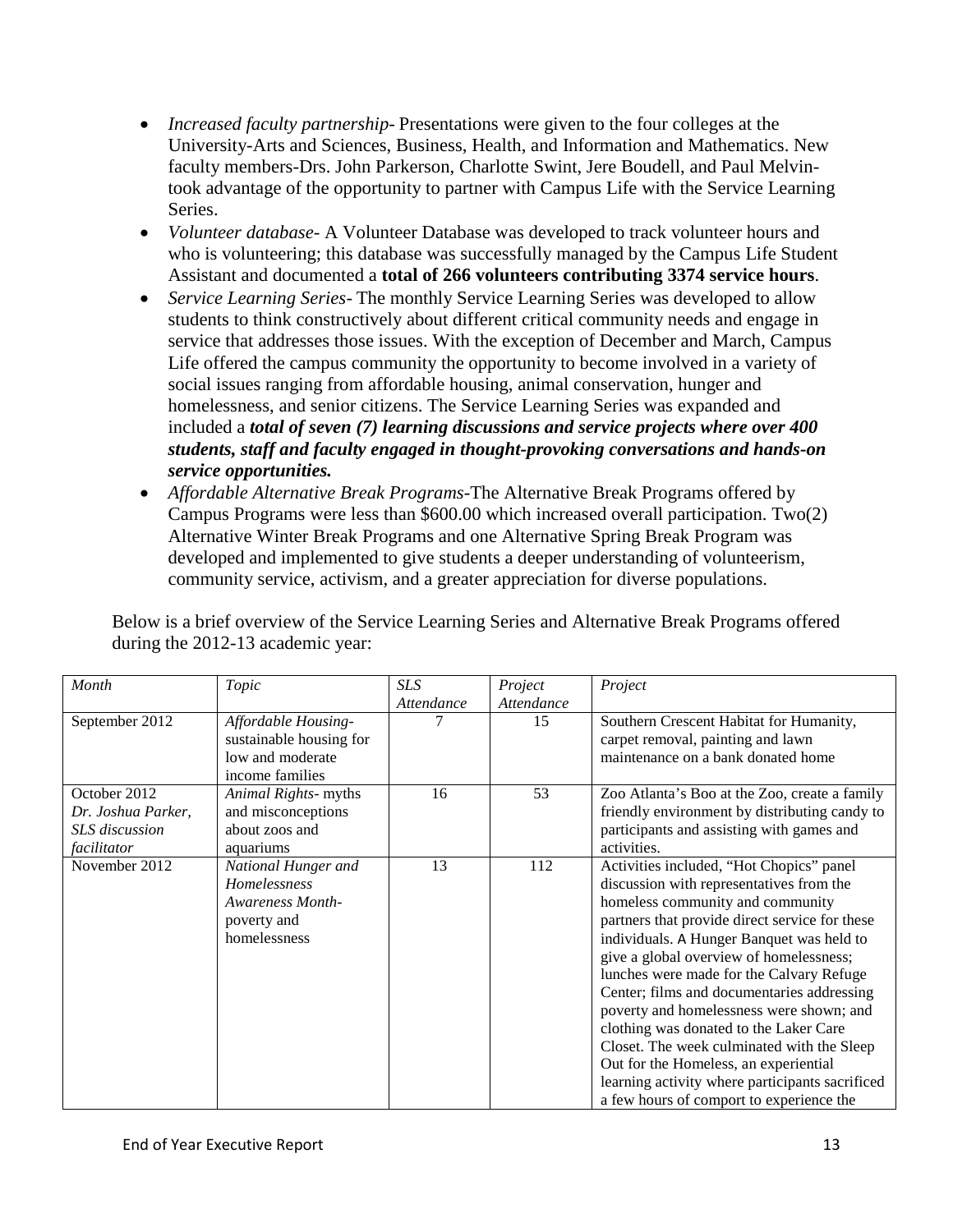- *Increased faculty partnership* Presentations were given to the four colleges at the University-Arts and Sciences, Business, Health, and Information and Mathematics. New faculty members-Drs. John Parkerson, Charlotte Swint, Jere Boudell, and Paul Melvintook advantage of the opportunity to partner with Campus Life with the Service Learning Series.
- *Volunteer database* A Volunteer Database was developed to track volunteer hours and who is volunteering; this database was successfully managed by the Campus Life Student Assistant and documented a **total of 266 volunteers contributing 3374 service hours**.
- *Service Learning Series-* The monthly Service Learning Series was developed to allow students to think constructively about different critical community needs and engage in service that addresses those issues. With the exception of December and March, Campus Life offered the campus community the opportunity to become involved in a variety of social issues ranging from affordable housing, animal conservation, hunger and homelessness, and senior citizens. The Service Learning Series was expanded and included a *total of seven (7) learning discussions and service projects where over 400 students, staff and faculty engaged in thought-provoking conversations and hands-on service opportunities.*
- *Affordable Alternative Break Programs-*The Alternative Break Programs offered by Campus Programs were less than \$600.00 which increased overall participation. Two(2) Alternative Winter Break Programs and one Alternative Spring Break Program was developed and implemented to give students a deeper understanding of volunteerism, community service, activism, and a greater appreciation for diverse populations.

| Month                                                                      | Topic                                                                                         | SLS<br>Attendance | Project<br>Attendance | Project                                                                                                                                                                                                                                                                                                                                                                                                                                                                                                                                                                                                                                  |
|----------------------------------------------------------------------------|-----------------------------------------------------------------------------------------------|-------------------|-----------------------|------------------------------------------------------------------------------------------------------------------------------------------------------------------------------------------------------------------------------------------------------------------------------------------------------------------------------------------------------------------------------------------------------------------------------------------------------------------------------------------------------------------------------------------------------------------------------------------------------------------------------------------|
| September 2012                                                             | Affordable Housing-<br>sustainable housing for<br>low and moderate<br>income families         |                   | 15                    | Southern Crescent Habitat for Humanity,<br>carpet removal, painting and lawn<br>maintenance on a bank donated home                                                                                                                                                                                                                                                                                                                                                                                                                                                                                                                       |
| October 2012<br>Dr. Joshua Parker,<br><b>SLS</b> discussion<br>facilitator | Animal Rights- myths<br>and misconceptions<br>about zoos and<br>aquariums                     | 16                | 53                    | Zoo Atlanta's Boo at the Zoo, create a family<br>friendly environment by distributing candy to<br>participants and assisting with games and<br>activities.                                                                                                                                                                                                                                                                                                                                                                                                                                                                               |
| November 2012                                                              | National Hunger and<br><b>Homelessness</b><br>Awareness Month-<br>poverty and<br>homelessness | 13                | 112                   | Activities included, "Hot Chopics" panel<br>discussion with representatives from the<br>homeless community and community<br>partners that provide direct service for these<br>individuals. A Hunger Banquet was held to<br>give a global overview of homelessness;<br>lunches were made for the Calvary Refuge<br>Center; films and documentaries addressing<br>poverty and homelessness were shown; and<br>clothing was donated to the Laker Care<br>Closet. The week culminated with the Sleep<br>Out for the Homeless, an experiential<br>learning activity where participants sacrificed<br>a few hours of comport to experience the |

Below is a brief overview of the Service Learning Series and Alternative Break Programs offered during the 2012-13 academic year: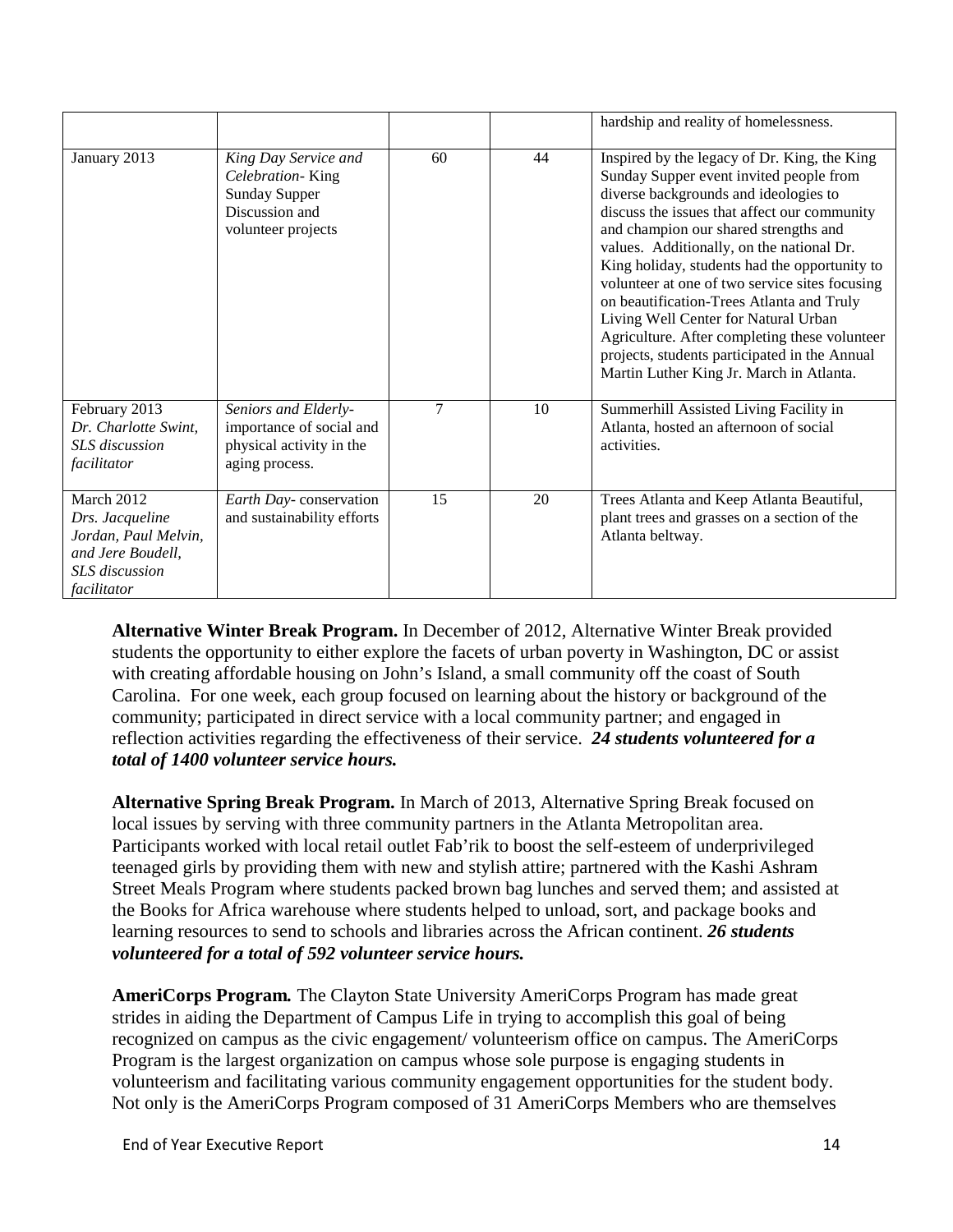|                                                                                                                    |                                                                                                          |    |    | hardship and reality of homelessness.                                                                                                                                                                                                                                                                                                                                                                                                                                                                                                                                                                        |
|--------------------------------------------------------------------------------------------------------------------|----------------------------------------------------------------------------------------------------------|----|----|--------------------------------------------------------------------------------------------------------------------------------------------------------------------------------------------------------------------------------------------------------------------------------------------------------------------------------------------------------------------------------------------------------------------------------------------------------------------------------------------------------------------------------------------------------------------------------------------------------------|
| January 2013                                                                                                       | King Day Service and<br>Celebration-King<br><b>Sunday Supper</b><br>Discussion and<br>volunteer projects | 60 | 44 | Inspired by the legacy of Dr. King, the King<br>Sunday Supper event invited people from<br>diverse backgrounds and ideologies to<br>discuss the issues that affect our community<br>and champion our shared strengths and<br>values. Additionally, on the national Dr.<br>King holiday, students had the opportunity to<br>volunteer at one of two service sites focusing<br>on beautification-Trees Atlanta and Truly<br>Living Well Center for Natural Urban<br>Agriculture. After completing these volunteer<br>projects, students participated in the Annual<br>Martin Luther King Jr. March in Atlanta. |
| February 2013<br>Dr. Charlotte Swint,<br><b>SLS</b> discussion<br>facilitator                                      | Seniors and Elderly-<br>importance of social and<br>physical activity in the<br>aging process.           | 7  | 10 | Summerhill Assisted Living Facility in<br>Atlanta, hosted an afternoon of social<br>activities.                                                                                                                                                                                                                                                                                                                                                                                                                                                                                                              |
| March 2012<br>Drs. Jacqueline<br>Jordan, Paul Melvin,<br>and Jere Boudell,<br><b>SLS</b> discussion<br>facilitator | Earth Day-conservation<br>and sustainability efforts                                                     | 15 | 20 | Trees Atlanta and Keep Atlanta Beautiful,<br>plant trees and grasses on a section of the<br>Atlanta beltway.                                                                                                                                                                                                                                                                                                                                                                                                                                                                                                 |

**Alternative Winter Break Program.** In December of 2012, Alternative Winter Break provided students the opportunity to either explore the facets of urban poverty in Washington, DC or assist with creating affordable housing on John's Island, a small community off the coast of South Carolina. For one week, each group focused on learning about the history or background of the community; participated in direct service with a local community partner; and engaged in reflection activities regarding the effectiveness of their service. *24 students volunteered for a total of 1400 volunteer service hours.* 

**Alternative Spring Break Program.** In March of 2013, Alternative Spring Break focused on local issues by serving with three community partners in the Atlanta Metropolitan area. Participants worked with local retail outlet Fab'rik to boost the self-esteem of underprivileged teenaged girls by providing them with new and stylish attire; partnered with the Kashi Ashram Street Meals Program where students packed brown bag lunches and served them; and assisted at the Books for Africa warehouse where students helped to unload, sort, and package books and learning resources to send to schools and libraries across the African continent. *26 students volunteered for a total of 592 volunteer service hours.* 

**AmeriCorps Program***.* The Clayton State University AmeriCorps Program has made great strides in aiding the Department of Campus Life in trying to accomplish this goal of being recognized on campus as the civic engagement/ volunteerism office on campus. The AmeriCorps Program is the largest organization on campus whose sole purpose is engaging students in volunteerism and facilitating various community engagement opportunities for the student body. Not only is the AmeriCorps Program composed of 31 AmeriCorps Members who are themselves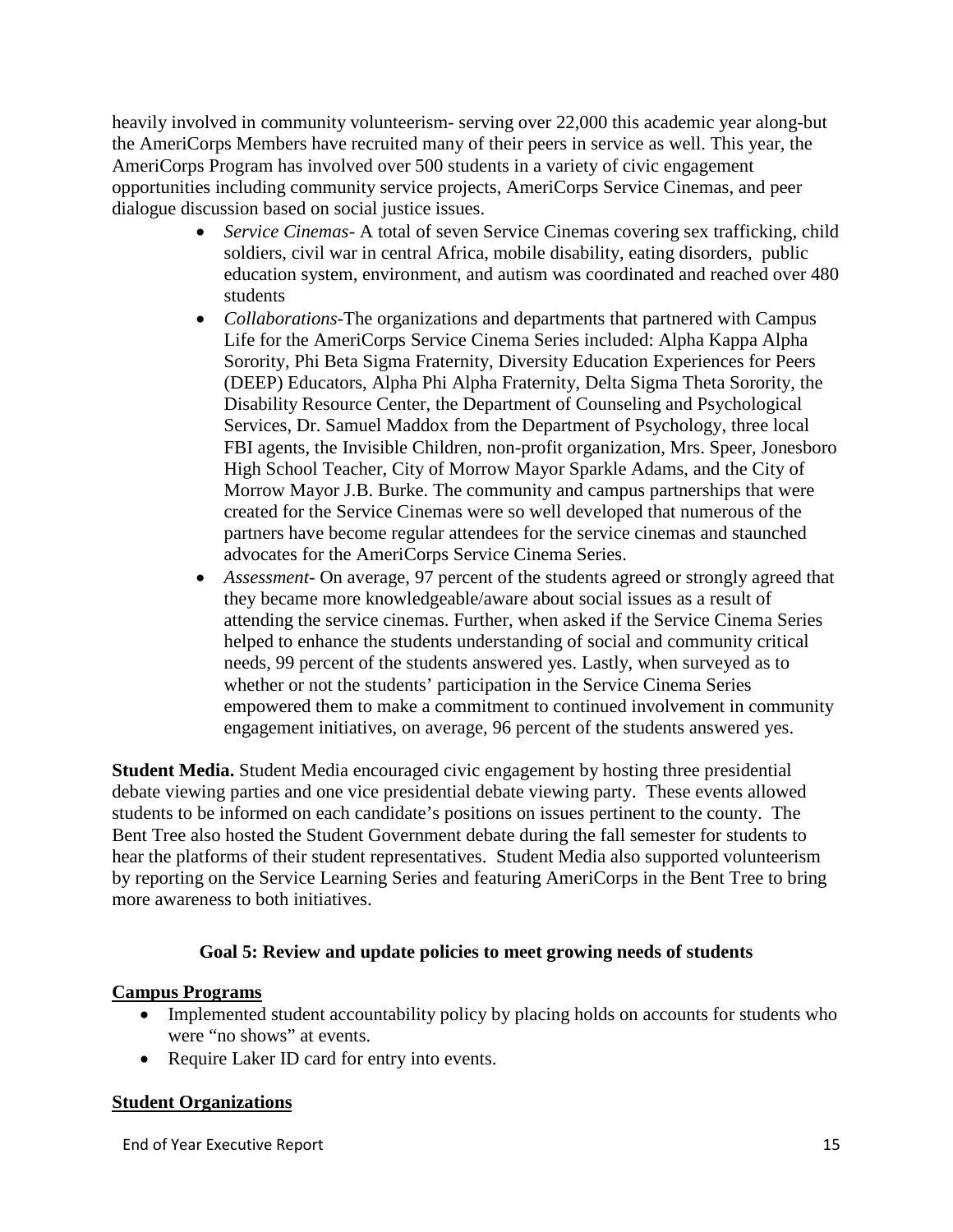heavily involved in community volunteerism- serving over 22,000 this academic year along-but the AmeriCorps Members have recruited many of their peers in service as well. This year, the AmeriCorps Program has involved over 500 students in a variety of civic engagement opportunities including community service projects, AmeriCorps Service Cinemas, and peer dialogue discussion based on social justice issues.

- *Service Cinemas* A total of seven Service Cinemas covering sex trafficking, child soldiers, civil war in central Africa, mobile disability, eating disorders, public education system, environment, and autism was coordinated and reached over 480 students
- *Collaborations*-The organizations and departments that partnered with Campus Life for the AmeriCorps Service Cinema Series included: Alpha Kappa Alpha Sorority, Phi Beta Sigma Fraternity, Diversity Education Experiences for Peers (DEEP) Educators, Alpha Phi Alpha Fraternity, Delta Sigma Theta Sorority, the Disability Resource Center, the Department of Counseling and Psychological Services, Dr. Samuel Maddox from the Department of Psychology, three local FBI agents, the Invisible Children, non-profit organization, Mrs. Speer, Jonesboro High School Teacher, City of Morrow Mayor Sparkle Adams, and the City of Morrow Mayor J.B. Burke. The community and campus partnerships that were created for the Service Cinemas were so well developed that numerous of the partners have become regular attendees for the service cinemas and staunched advocates for the AmeriCorps Service Cinema Series.
- *Assessment-* On average, 97 percent of the students agreed or strongly agreed that they became more knowledgeable/aware about social issues as a result of attending the service cinemas. Further, when asked if the Service Cinema Series helped to enhance the students understanding of social and community critical needs, 99 percent of the students answered yes. Lastly, when surveyed as to whether or not the students' participation in the Service Cinema Series empowered them to make a commitment to continued involvement in community engagement initiatives, on average, 96 percent of the students answered yes.

**Student Media.** Student Media encouraged civic engagement by hosting three presidential debate viewing parties and one vice presidential debate viewing party. These events allowed students to be informed on each candidate's positions on issues pertinent to the county. The Bent Tree also hosted the Student Government debate during the fall semester for students to hear the platforms of their student representatives. Student Media also supported volunteerism by reporting on the Service Learning Series and featuring AmeriCorps in the Bent Tree to bring more awareness to both initiatives.

## **Goal 5: Review and update policies to meet growing needs of students**

## **Campus Programs**

- Implemented student accountability policy by placing holds on accounts for students who were "no shows" at events.
- Require Laker ID card for entry into events.

#### **Student Organizations**

End of Year Executive Report 15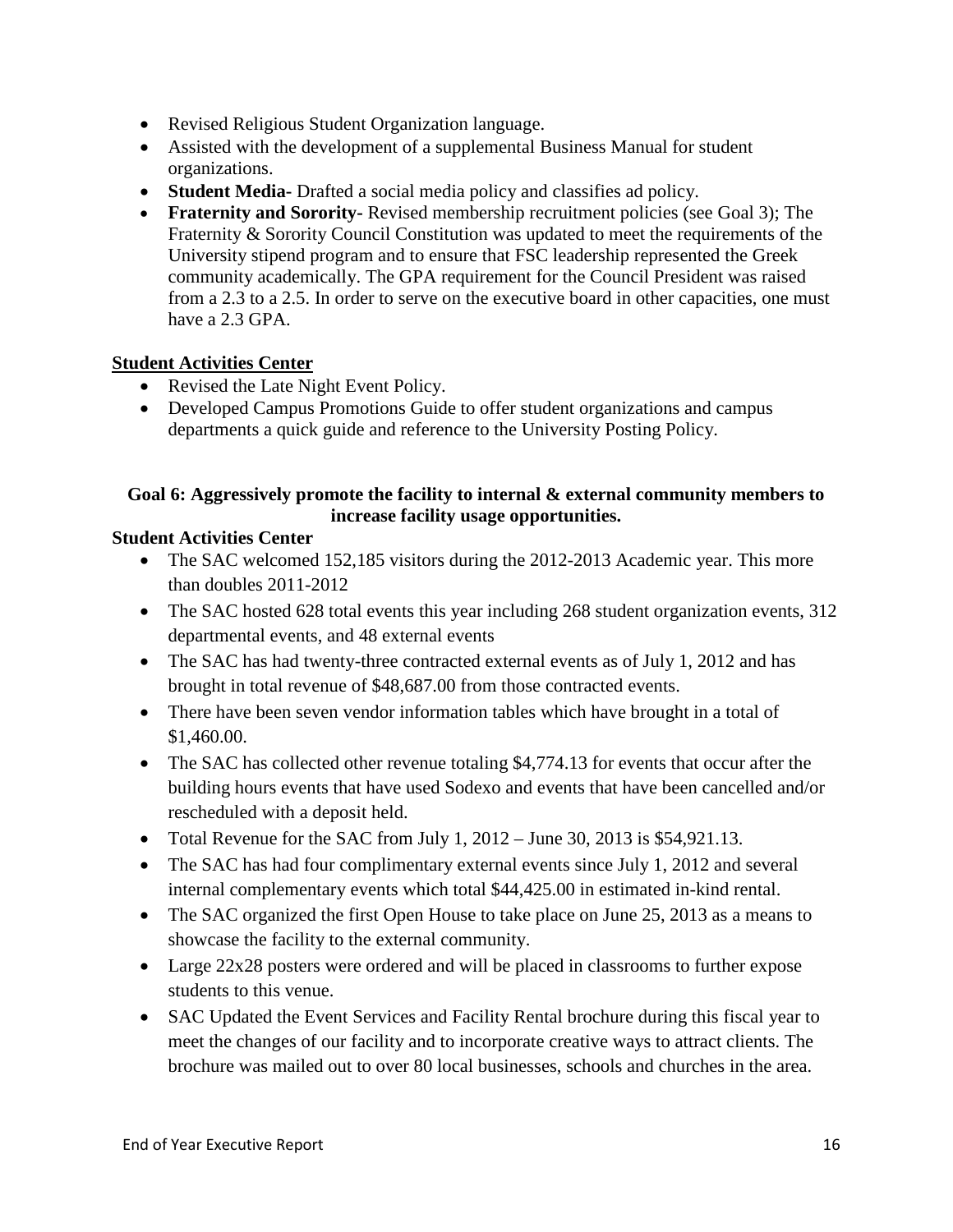- Revised Religious Student Organization language.
- Assisted with the development of a supplemental Business Manual for student organizations.
- **Student Media-** Drafted a social media policy and classifies ad policy.
- **Fraternity and Sorority-** Revised membership recruitment policies (see Goal 3); The Fraternity & Sorority Council Constitution was updated to meet the requirements of the University stipend program and to ensure that FSC leadership represented the Greek community academically. The GPA requirement for the Council President was raised from a 2.3 to a 2.5. In order to serve on the executive board in other capacities, one must have a 2.3 GPA.

## **Student Activities Center**

- Revised the Late Night Event Policy.
- Developed Campus Promotions Guide to offer student organizations and campus departments a quick guide and reference to the University Posting Policy.

## **Goal 6: Aggressively promote the facility to internal & external community members to increase facility usage opportunities.**

## **Student Activities Center**

- The SAC welcomed 152,185 visitors during the 2012-2013 Academic year. This more than doubles 2011-2012
- The SAC hosted 628 total events this year including 268 student organization events, 312 departmental events, and 48 external events
- The SAC has had twenty-three contracted external events as of July 1, 2012 and has brought in total revenue of \$48,687.00 from those contracted events.
- There have been seven vendor information tables which have brought in a total of \$1,460.00.
- The SAC has collected other revenue totaling \$4,774.13 for events that occur after the building hours events that have used Sodexo and events that have been cancelled and/or rescheduled with a deposit held.
- Total Revenue for the SAC from July 1,  $2012 -$  June 30, 2013 is \$54,921.13.
- The SAC has had four complimentary external events since July 1, 2012 and several internal complementary events which total \$44,425.00 in estimated in-kind rental.
- The SAC organized the first Open House to take place on June 25, 2013 as a means to showcase the facility to the external community.
- Large 22x28 posters were ordered and will be placed in classrooms to further expose students to this venue.
- SAC Updated the Event Services and Facility Rental brochure during this fiscal year to meet the changes of our facility and to incorporate creative ways to attract clients. The brochure was mailed out to over 80 local businesses, schools and churches in the area.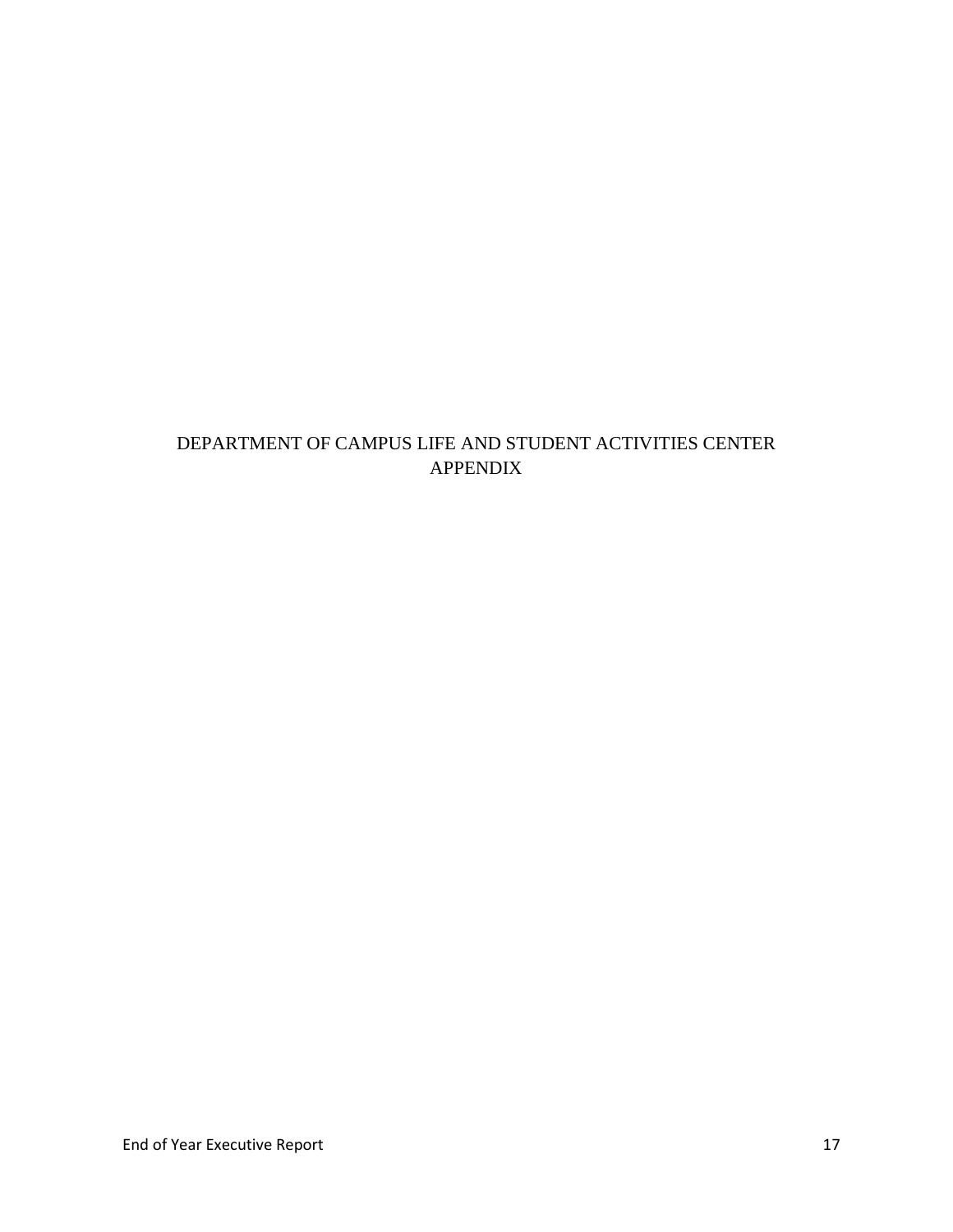# DEPARTMENT OF CAMPUS LIFE AND STUDENT ACTIVITIES CENTER APPENDIX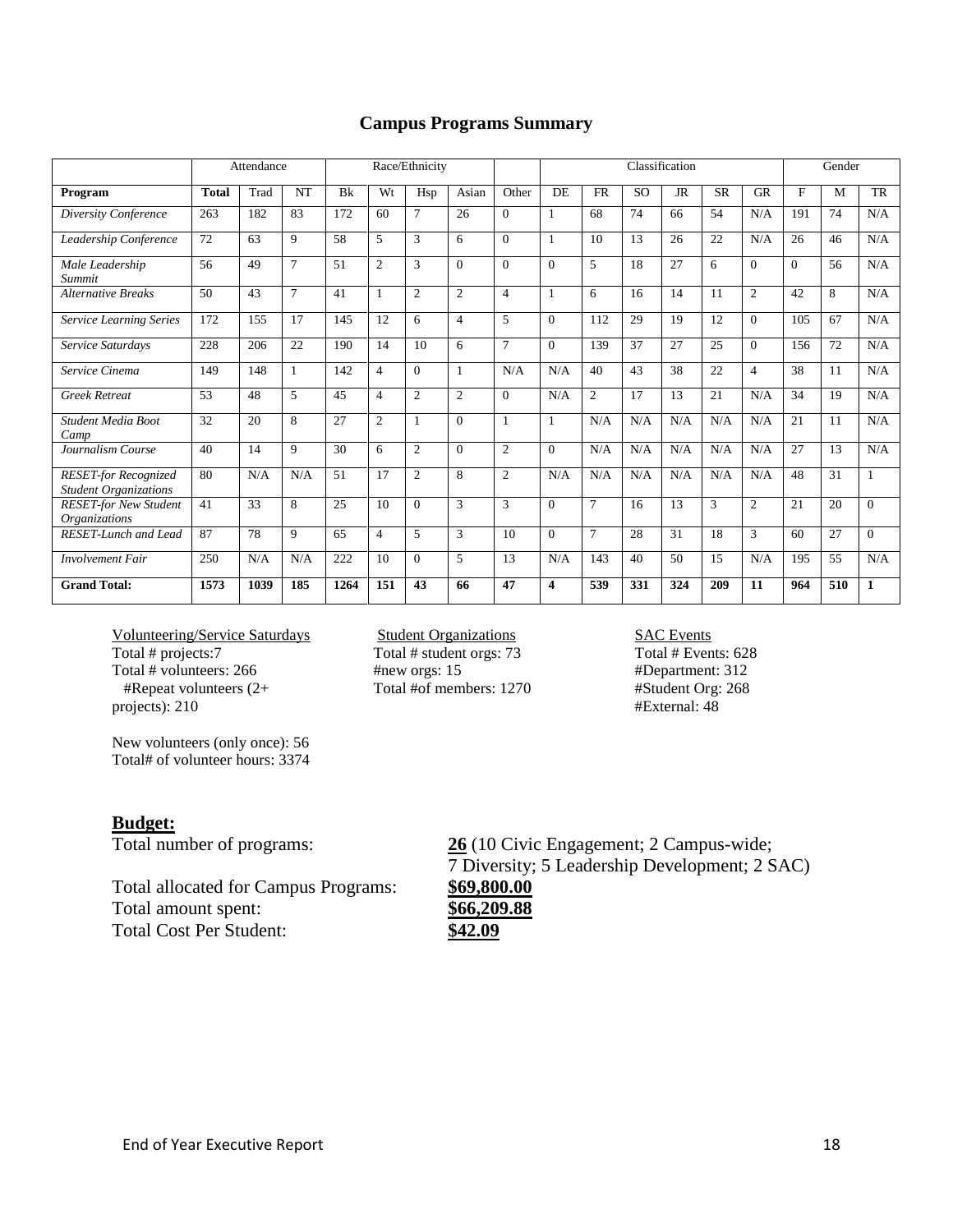# **Campus Programs Summary**

|                                                             |              | Attendance |                |      |                | Race/Ethnicity |                |                |                |                |           | Classification |           |                |          | Gender |           |
|-------------------------------------------------------------|--------------|------------|----------------|------|----------------|----------------|----------------|----------------|----------------|----------------|-----------|----------------|-----------|----------------|----------|--------|-----------|
| Program                                                     | <b>Total</b> | Trad       | <b>NT</b>      | Bk   | Wt             | Hsp            | Asian          | Other          | <b>DE</b>      | <b>FR</b>      | <b>SO</b> | <b>JR</b>      | <b>SR</b> | GR             | F        | M      | <b>TR</b> |
| Diversity Conference                                        | 263          | 182        | 83             | 172  | 60             | $\overline{7}$ | 26             | $\overline{0}$ | 1              | 68             | 74        | 66             | 54        | N/A            | 191      | 74     | N/A       |
| Leadership Conference                                       | 72           | 63         | 9              | 58   | 5              | 3              | 6              | $\Omega$       |                | 10             | 13        | 26             | 22        | N/A            | 26       | 46     | N/A       |
| Male Leadership<br>Summit                                   | 56           | 49         | 7              | 51   | 2              | 3              | $\mathbf{0}$   | $\overline{0}$ | $\overline{0}$ | 5              | 18        | 27             | 6         | $\theta$       | $\Omega$ | 56     | N/A       |
| <b>Alternative Breaks</b>                                   | 50           | 43         | $\overline{7}$ | 41   |                | $\overline{2}$ | $\mathfrak{2}$ | $\overline{4}$ | 1              | 6              | 16        | 14             | 11        | 2              | 42       | 8      | N/A       |
| <b>Service Learning Series</b>                              | 172          | 155        | 17             | 145  | 12             | 6              | $\overline{4}$ | 5              | $\Omega$       | 112            | 29        | 19             | 12        | $\theta$       | 105      | 67     | N/A       |
| Service Saturdays                                           | 228          | 206        | 22             | 190  | 14             | 10             | 6              | 7              | $\Omega$       | 139            | 37        | 27             | 25        | $\theta$       | 156      | 72     | N/A       |
| Service Cinema                                              | 149          | 148        | 1              | 142  | 4              | $\theta$       |                | N/A            | N/A            | 40             | 43        | 38             | 22        | $\overline{4}$ | 38       | 11     | N/A       |
| <b>Greek Retreat</b>                                        | 53           | 48         | 5              | 45   | 4              | $\mathfrak{2}$ | 2              | $\Omega$       | N/A            | $\overline{2}$ | 17        | 13             | 21        | N/A            | 34       | 19     | N/A       |
| Student Media Boot<br>Camp                                  | 32           | 20         | 8              | 27   | $\overline{c}$ | 1              | $\Omega$       |                |                | N/A            | N/A       | N/A            | N/A       | N/A            | 21       | 11     | N/A       |
| Journalism Course                                           | 40           | 14         | 9              | 30   | 6              | $\overline{2}$ | $\Omega$       | $\mathfrak{2}$ | $\Omega$       | N/A            | N/A       | N/A            | N/A       | N/A            | 27       | 13     | N/A       |
| <b>RESET-for Recognized</b><br><b>Student Organizations</b> | 80           | N/A        | N/A            | 51   | 17             | $\overline{2}$ | 8              | $\overline{c}$ | N/A            | N/A            | N/A       | N/A            | N/A       | N/A            | 48       | 31     | 1         |
| <b>RESET-for New Student</b><br><b>Organizations</b>        | 41           | 33         | 8              | 25   | 10             | $\Omega$       | 3              | 3              | $\mathbf{0}$   | $\overline{7}$ | 16        | 13             | 3         | 2              | 21       | 20     | $\theta$  |
| RESET-Lunch and Lead                                        | 87           | 78         | $\mathbf Q$    | 65   | $\overline{4}$ | 5              | 3              | 10             | $\Omega$       | $\overline{7}$ | 28        | 31             | 18        | 3              | 60       | 27     | $\Omega$  |
| <b>Involvement Fair</b>                                     | 250          | N/A        | N/A            | 222  | 10             | $\Omega$       | 5              | 13             | N/A            | 143            | 40        | 50             | 15        | N/A            | 195      | 55     | N/A       |
| <b>Grand Total:</b>                                         | 1573         | 1039       | 185            | 1264 | 151            | 43             | 66             | 47             | 4              | 539            | 331       | 324            | 209       | 11             | 964      | 510    | 1         |

Volunteering/Service Saturdays Total # projects:7 Total # volunteers: 266 #Repeat volunteers (2+ projects): 210

New volunteers (only once): 56 Total# of volunteer hours: 3374

**Budget:**<br>Total number of programs:

Total allocated for Campus Programs: **\$69,800.00** Total amount spent: **\$66,209.88** Total Cost Per Student: **\$42.09** 

**Student Organizations** Total # student orgs: 73 #new orgs: 15 Total #of members: 1270 SAC Events Total # Events: 628 #Department: 312 #Student Org: 268 #External: 48

Total number of programs: **26** (10 Civic Engagement; 2 Campus-wide; 7 Diversity; 5 Leadership Development; 2 SAC)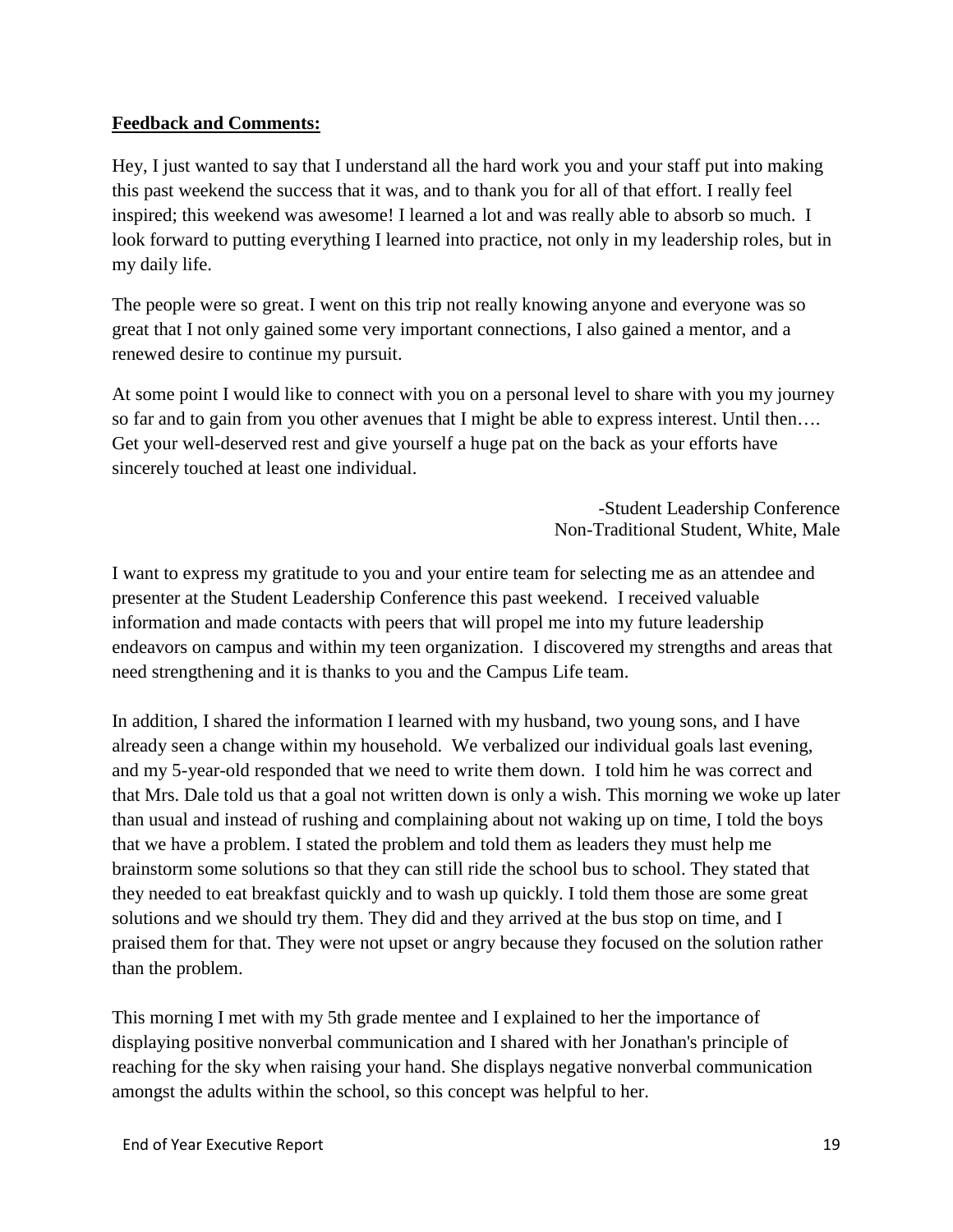## **Feedback and Comments:**

Hey, I just wanted to say that I understand all the hard work you and your staff put into making this past weekend the success that it was, and to thank you for all of that effort. I really feel inspired; this weekend was awesome! I learned a lot and was really able to absorb so much. I look forward to putting everything I learned into practice, not only in my leadership roles, but in my daily life.

The people were so great. I went on this trip not really knowing anyone and everyone was so great that I not only gained some very important connections, I also gained a mentor, and a renewed desire to continue my pursuit.

At some point I would like to connect with you on a personal level to share with you my journey so far and to gain from you other avenues that I might be able to express interest. Until then…. Get your well-deserved rest and give yourself a huge pat on the back as your efforts have sincerely touched at least one individual.

> -Student Leadership Conference Non-Traditional Student, White, Male

I want to express my gratitude to you and your entire team for selecting me as an attendee and presenter at the Student Leadership Conference this past weekend. I received valuable information and made contacts with peers that will propel me into my future leadership endeavors on campus and within my teen organization. I discovered my strengths and areas that need strengthening and it is thanks to you and the Campus Life team.

In addition, I shared the information I learned with my husband, two young sons, and I have already seen a change within my household. We verbalized our individual goals last evening, and my 5-year-old responded that we need to write them down. I told him he was correct and that Mrs. Dale told us that a goal not written down is only a wish. This morning we woke up later than usual and instead of rushing and complaining about not waking up on time, I told the boys that we have a problem. I stated the problem and told them as leaders they must help me brainstorm some solutions so that they can still ride the school bus to school. They stated that they needed to eat breakfast quickly and to wash up quickly. I told them those are some great solutions and we should try them. They did and they arrived at the bus stop on time, and I praised them for that. They were not upset or angry because they focused on the solution rather than the problem.

This morning I met with my 5th grade mentee and I explained to her the importance of displaying positive nonverbal communication and I shared with her Jonathan's principle of reaching for the sky when raising your hand. She displays negative nonverbal communication amongst the adults within the school, so this concept was helpful to her.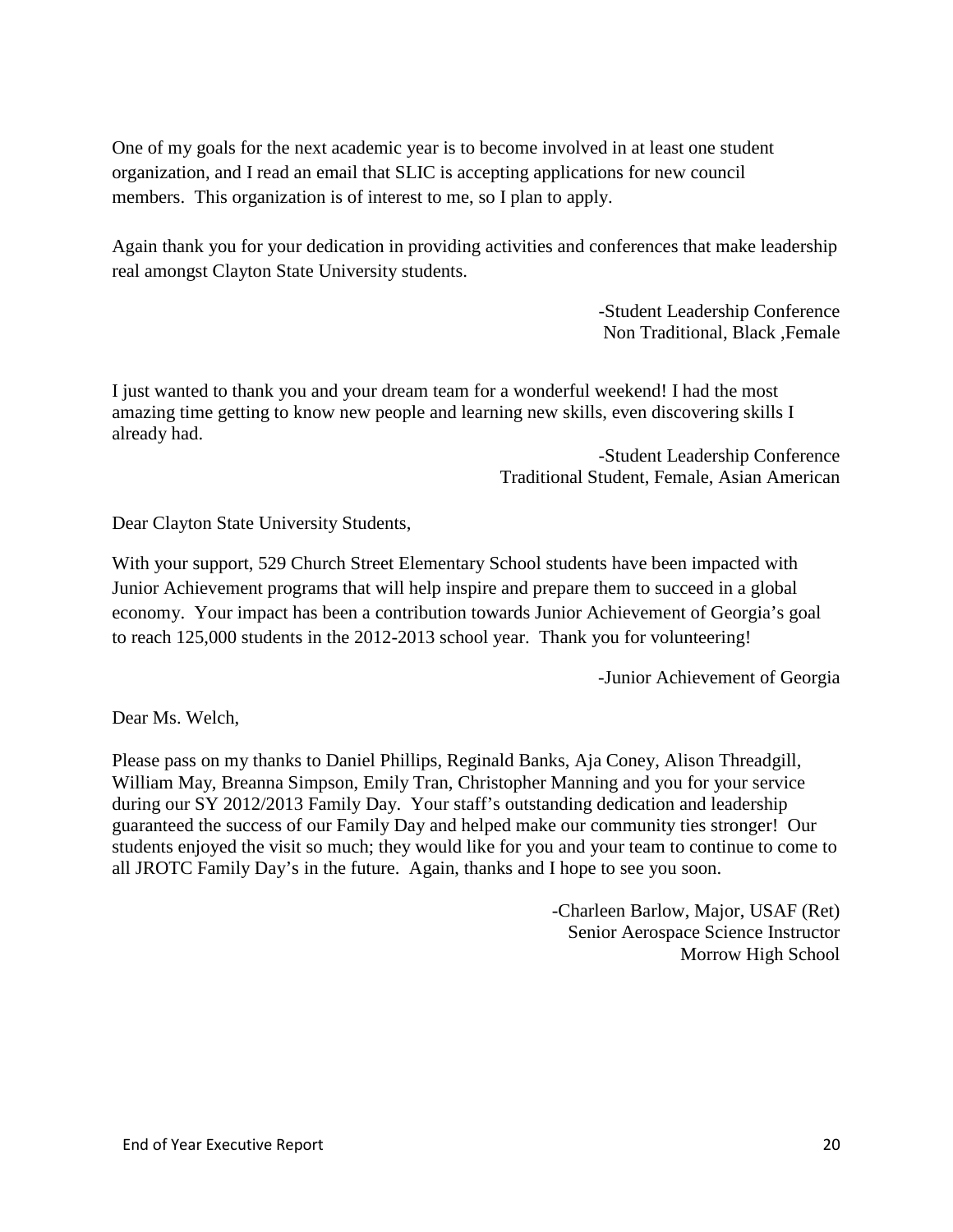One of my goals for the next academic year is to become involved in at least one student organization, and I read an email that SLIC is accepting applications for new council members. This organization is of interest to me, so I plan to apply.

Again thank you for your dedication in providing activities and conferences that make leadership real amongst Clayton State University students.

> -Student Leadership Conference Non Traditional, Black ,Female

I just wanted to thank you and your dream team for a wonderful weekend! I had the most amazing time getting to know new people and learning new skills, even discovering skills I already had.

> -Student Leadership Conference Traditional Student, Female, Asian American

Dear Clayton State University Students,

With your support, 529 Church Street Elementary School students have been impacted with Junior Achievement programs that will help inspire and prepare them to succeed in a global economy. Your impact has been a contribution towards Junior Achievement of Georgia's goal to reach 125,000 students in the 2012-2013 school year. Thank you for volunteering!

-Junior Achievement of Georgia

Dear Ms. Welch,

Please pass on my thanks to Daniel Phillips, Reginald Banks, Aja Coney, Alison Threadgill, William May, Breanna Simpson, Emily Tran, Christopher Manning and you for your service during our SY 2012/2013 Family Day. Your staff's outstanding dedication and leadership guaranteed the success of our Family Day and helped make our community ties stronger! Our students enjoyed the visit so much; they would like for you and your team to continue to come to all JROTC Family Day's in the future. Again, thanks and I hope to see you soon.

> -Charleen Barlow, Major, USAF (Ret) Senior Aerospace Science Instructor Morrow High School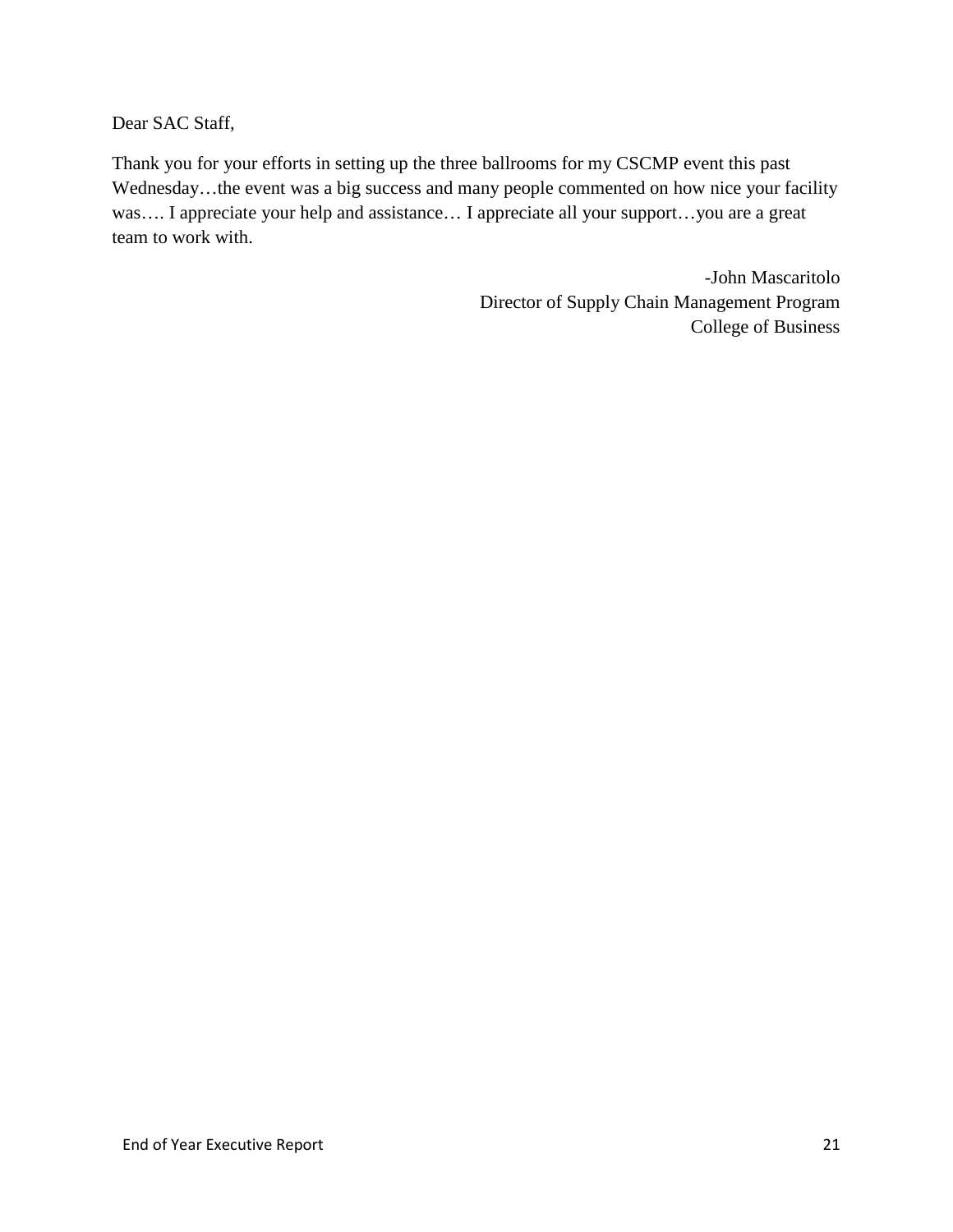Dear SAC Staff,

Thank you for your efforts in setting up the three ballrooms for my CSCMP event this past Wednesday…the event was a big success and many people commented on how nice your facility was…. I appreciate your help and assistance… I appreciate all your support…you are a great team to work with.

> -John Mascaritolo Director of Supply Chain Management Program College of Business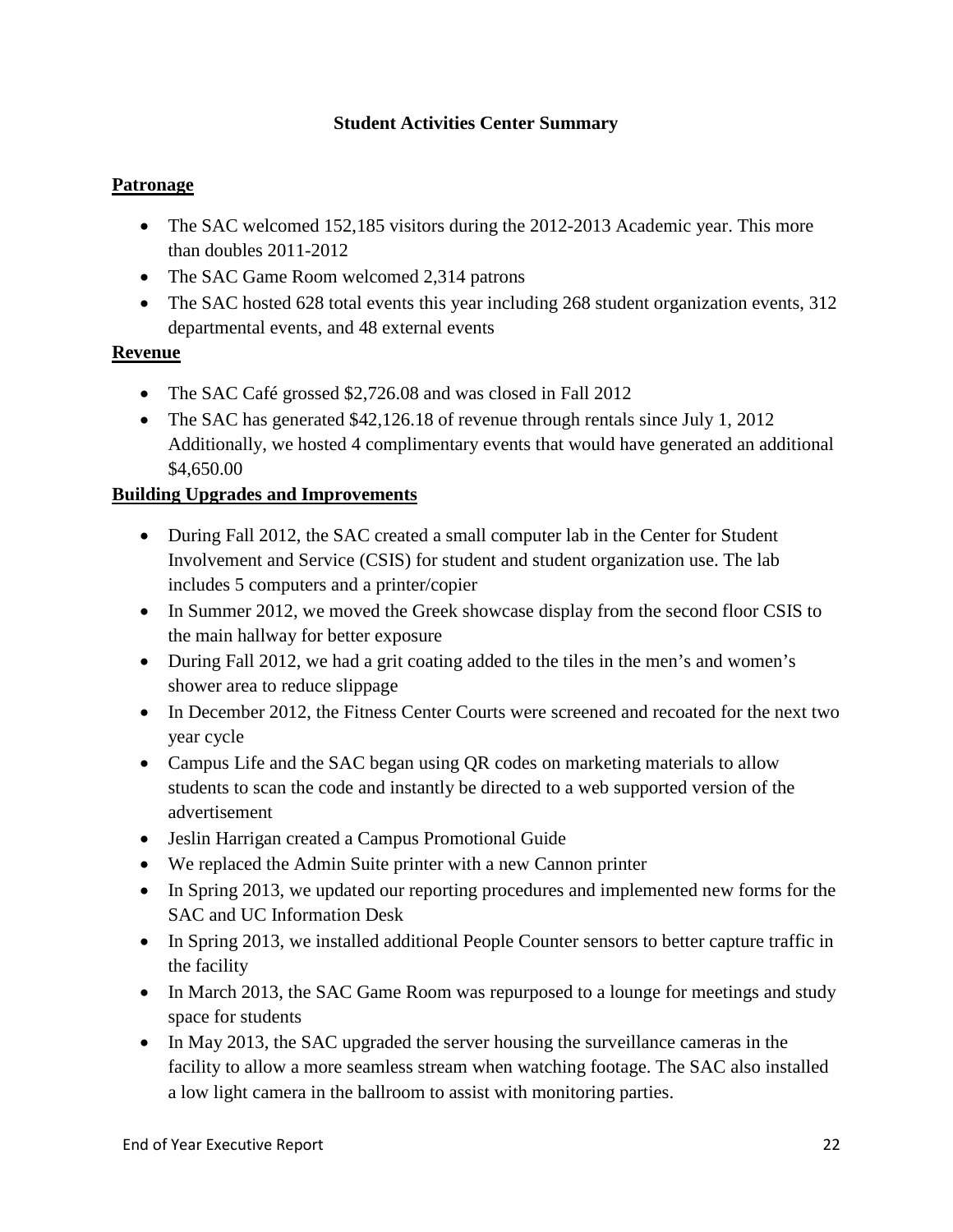# **Student Activities Center Summary**

# **Patronage**

- The SAC welcomed 152,185 visitors during the 2012-2013 Academic year. This more than doubles 2011-2012
- The SAC Game Room welcomed 2,314 patrons
- The SAC hosted 628 total events this year including 268 student organization events, 312 departmental events, and 48 external events

# **Revenue**

- The SAC Café grossed \$2,726.08 and was closed in Fall 2012
- The SAC has generated \$42,126.18 of revenue through rentals since July 1, 2012 Additionally, we hosted 4 complimentary events that would have generated an additional \$4,650.00

# **Building Upgrades and Improvements**

- During Fall 2012, the SAC created a small computer lab in the Center for Student Involvement and Service (CSIS) for student and student organization use. The lab includes 5 computers and a printer/copier
- In Summer 2012, we moved the Greek showcase display from the second floor CSIS to the main hallway for better exposure
- During Fall 2012, we had a grit coating added to the tiles in the men's and women's shower area to reduce slippage
- In December 2012, the Fitness Center Courts were screened and recoated for the next two year cycle
- Campus Life and the SAC began using QR codes on marketing materials to allow students to scan the code and instantly be directed to a web supported version of the advertisement
- Jeslin Harrigan created a Campus Promotional Guide
- We replaced the Admin Suite printer with a new Cannon printer
- In Spring 2013, we updated our reporting procedures and implemented new forms for the SAC and UC Information Desk
- In Spring 2013, we installed additional People Counter sensors to better capture traffic in the facility
- In March 2013, the SAC Game Room was repurposed to a lounge for meetings and study space for students
- In May 2013, the SAC upgraded the server housing the surveillance cameras in the facility to allow a more seamless stream when watching footage. The SAC also installed a low light camera in the ballroom to assist with monitoring parties.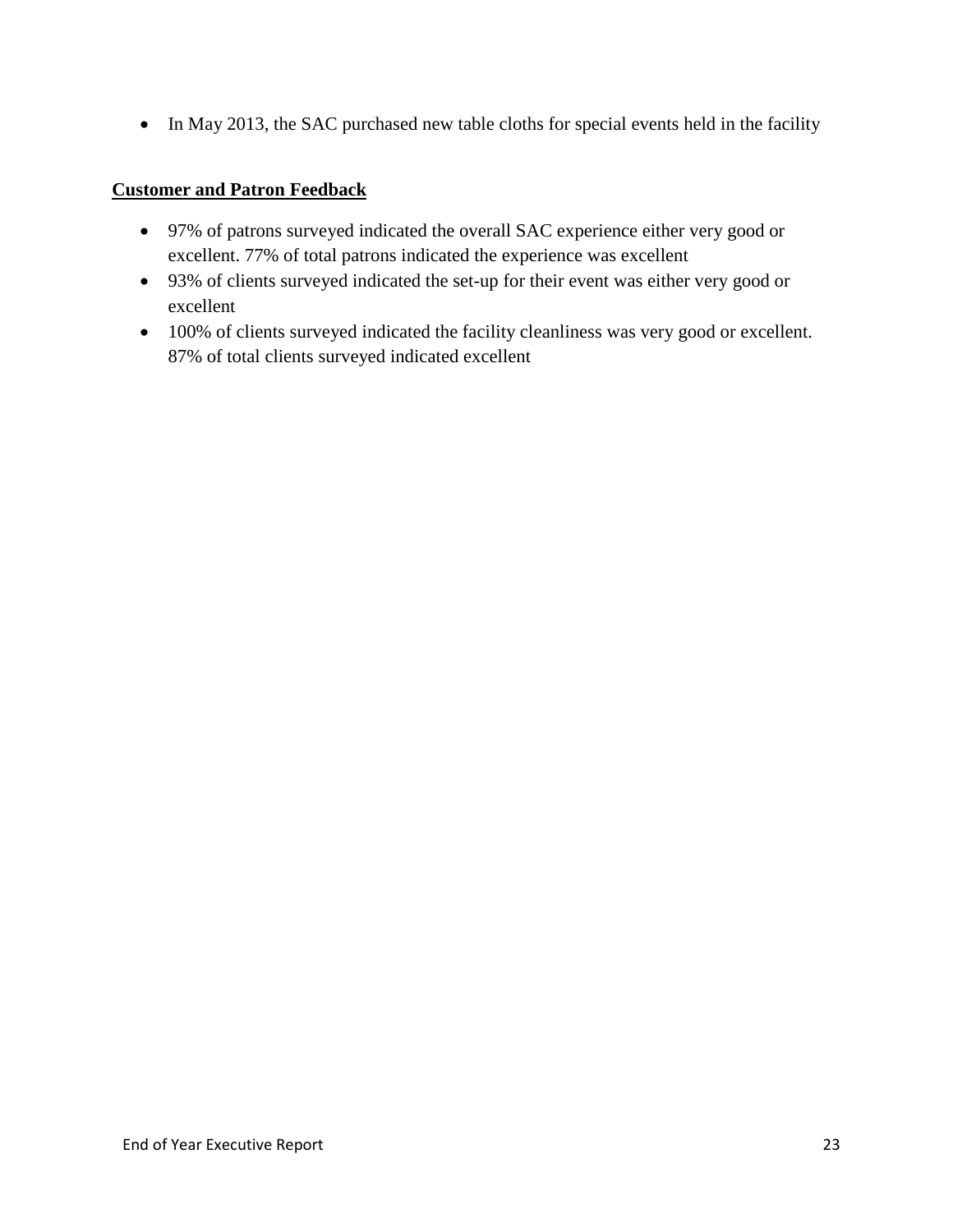• In May 2013, the SAC purchased new table cloths for special events held in the facility

## **Customer and Patron Feedback**

- 97% of patrons surveyed indicated the overall SAC experience either very good or excellent. 77% of total patrons indicated the experience was excellent
- 93% of clients surveyed indicated the set-up for their event was either very good or excellent
- 100% of clients surveyed indicated the facility cleanliness was very good or excellent. 87% of total clients surveyed indicated excellent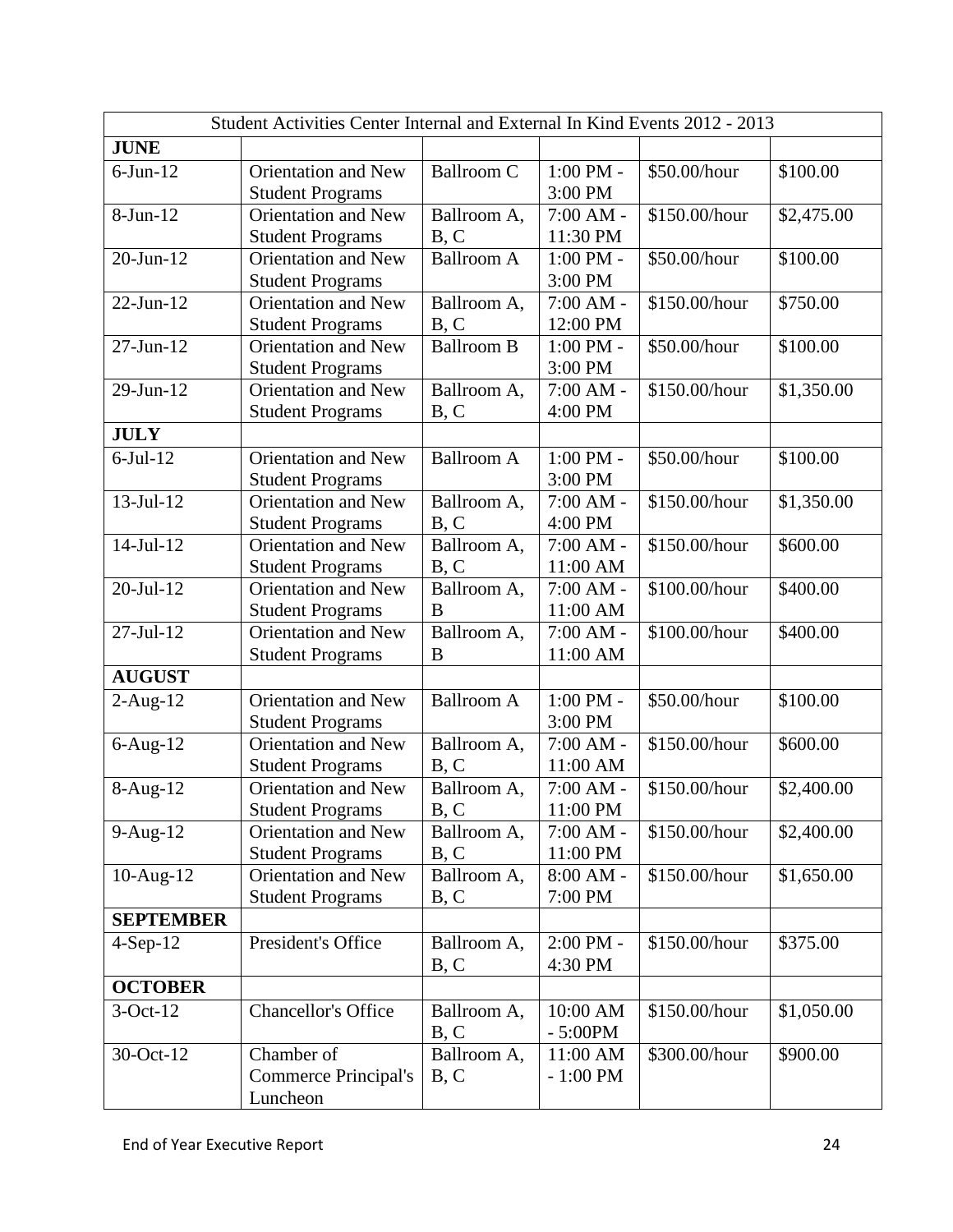| Student Activities Center Internal and External In Kind Events 2012 - 2013 |                             |                   |             |               |            |  |  |  |
|----------------------------------------------------------------------------|-----------------------------|-------------------|-------------|---------------|------------|--|--|--|
| <b>JUNE</b>                                                                |                             |                   |             |               |            |  |  |  |
| $6$ -Jun- $12$                                                             | <b>Orientation and New</b>  | <b>Ballroom C</b> | $1:00$ PM - | \$50.00/hour  | \$100.00   |  |  |  |
|                                                                            | <b>Student Programs</b>     |                   | 3:00 PM     |               |            |  |  |  |
| $8-Jun-12$                                                                 | <b>Orientation and New</b>  | Ballroom A,       | $7:00$ AM - | \$150.00/hour | \$2,475.00 |  |  |  |
|                                                                            | <b>Student Programs</b>     | B, C              | 11:30 PM    |               |            |  |  |  |
| $20$ -Jun-12                                                               | <b>Orientation and New</b>  | <b>Ballroom A</b> | $1:00$ PM - | \$50.00/hour  | \$100.00   |  |  |  |
|                                                                            | <b>Student Programs</b>     |                   | 3:00 PM     |               |            |  |  |  |
| $22$ -Jun-12                                                               | Orientation and New         | Ballroom A,       | $7:00$ AM - | \$150.00/hour | \$750.00   |  |  |  |
|                                                                            | <b>Student Programs</b>     | B, C              | 12:00 PM    |               |            |  |  |  |
| $27$ -Jun-12                                                               | <b>Orientation and New</b>  | <b>Ballroom B</b> | $1:00$ PM - | \$50.00/hour  | \$100.00   |  |  |  |
|                                                                            | <b>Student Programs</b>     |                   | 3:00 PM     |               |            |  |  |  |
| $29$ -Jun-12                                                               | <b>Orientation and New</b>  | Ballroom A,       | $7:00$ AM - | \$150.00/hour | \$1,350.00 |  |  |  |
|                                                                            | <b>Student Programs</b>     | B, C              | 4:00 PM     |               |            |  |  |  |
| <b>JULY</b>                                                                |                             |                   |             |               |            |  |  |  |
| $6$ -Jul- $12$                                                             | Orientation and New         | <b>Ballroom A</b> | $1:00$ PM - | \$50.00/hour  | \$100.00   |  |  |  |
|                                                                            | <b>Student Programs</b>     |                   | 3:00 PM     |               |            |  |  |  |
| $13$ -Jul- $12$                                                            | Orientation and New         | Ballroom A,       | $7:00$ AM - | \$150.00/hour | \$1,350.00 |  |  |  |
|                                                                            | <b>Student Programs</b>     | B, C              | 4:00 PM     |               |            |  |  |  |
| $14$ -Jul- $12$                                                            | Orientation and New         | Ballroom A,       | $7:00$ AM - | \$150.00/hour | \$600.00   |  |  |  |
|                                                                            | <b>Student Programs</b>     | B, C              | 11:00 AM    |               |            |  |  |  |
| $20$ -Jul-12                                                               | Orientation and New         | Ballroom A,       | $7:00$ AM - | \$100.00/hour | \$400.00   |  |  |  |
|                                                                            | <b>Student Programs</b>     | B                 | 11:00 AM    |               |            |  |  |  |
| $27$ -Jul- $\overline{12}$                                                 | <b>Orientation and New</b>  | Ballroom A,       | $7:00$ AM - | \$100.00/hour | \$400.00   |  |  |  |
|                                                                            | <b>Student Programs</b>     | B                 | 11:00 AM    |               |            |  |  |  |
| <b>AUGUST</b>                                                              |                             |                   |             |               |            |  |  |  |
| $2-Aug-12$                                                                 | Orientation and New         | <b>Ballroom A</b> | $1:00$ PM - | \$50.00/hour  | \$100.00   |  |  |  |
|                                                                            | <b>Student Programs</b>     |                   | 3:00 PM     |               |            |  |  |  |
| $6$ -Aug- $12$                                                             | Orientation and New         | Ballroom A,       | $7:00$ AM - | \$150.00/hour | \$600.00   |  |  |  |
|                                                                            | <b>Student Programs</b>     | B, C              | 11:00 AM    |               |            |  |  |  |
| 8-Aug-12                                                                   | Orientation and New         | Ballroom A,       | $7:00 AM -$ | \$150.00/hour | \$2,400.00 |  |  |  |
|                                                                            | <b>Student Programs</b>     | B, C              | 11:00 PM    |               |            |  |  |  |
| $9-Aug-12$                                                                 | Orientation and New         | Ballroom A,       | $7:00 AM -$ | \$150.00/hour | \$2,400.00 |  |  |  |
|                                                                            | <b>Student Programs</b>     | B, C              | 11:00 PM    |               |            |  |  |  |
| 10-Aug-12                                                                  | Orientation and New         | Ballroom A,       | $8:00 AM -$ | \$150.00/hour | \$1,650.00 |  |  |  |
|                                                                            | <b>Student Programs</b>     | B, C              | 7:00 PM     |               |            |  |  |  |
| <b>SEPTEMBER</b>                                                           |                             |                   |             |               |            |  |  |  |
| $4-Sep-12$                                                                 | President's Office          | Ballroom A,       | $2:00$ PM - | \$150.00/hour | \$375.00   |  |  |  |
|                                                                            |                             | B, C              | 4:30 PM     |               |            |  |  |  |
| <b>OCTOBER</b>                                                             |                             |                   |             |               |            |  |  |  |
| $3-Oct-12$                                                                 | <b>Chancellor's Office</b>  | Ballroom A,       | 10:00 AM    | \$150.00/hour | \$1,050.00 |  |  |  |
|                                                                            |                             | B, C              | $-5:00PM$   |               |            |  |  |  |
| 30-Oct-12                                                                  | Chamber of                  | Ballroom A,       | 11:00 AM    | \$300.00/hour | \$900.00   |  |  |  |
|                                                                            | <b>Commerce Principal's</b> | B, C              | $-1:00$ PM  |               |            |  |  |  |
|                                                                            | Luncheon                    |                   |             |               |            |  |  |  |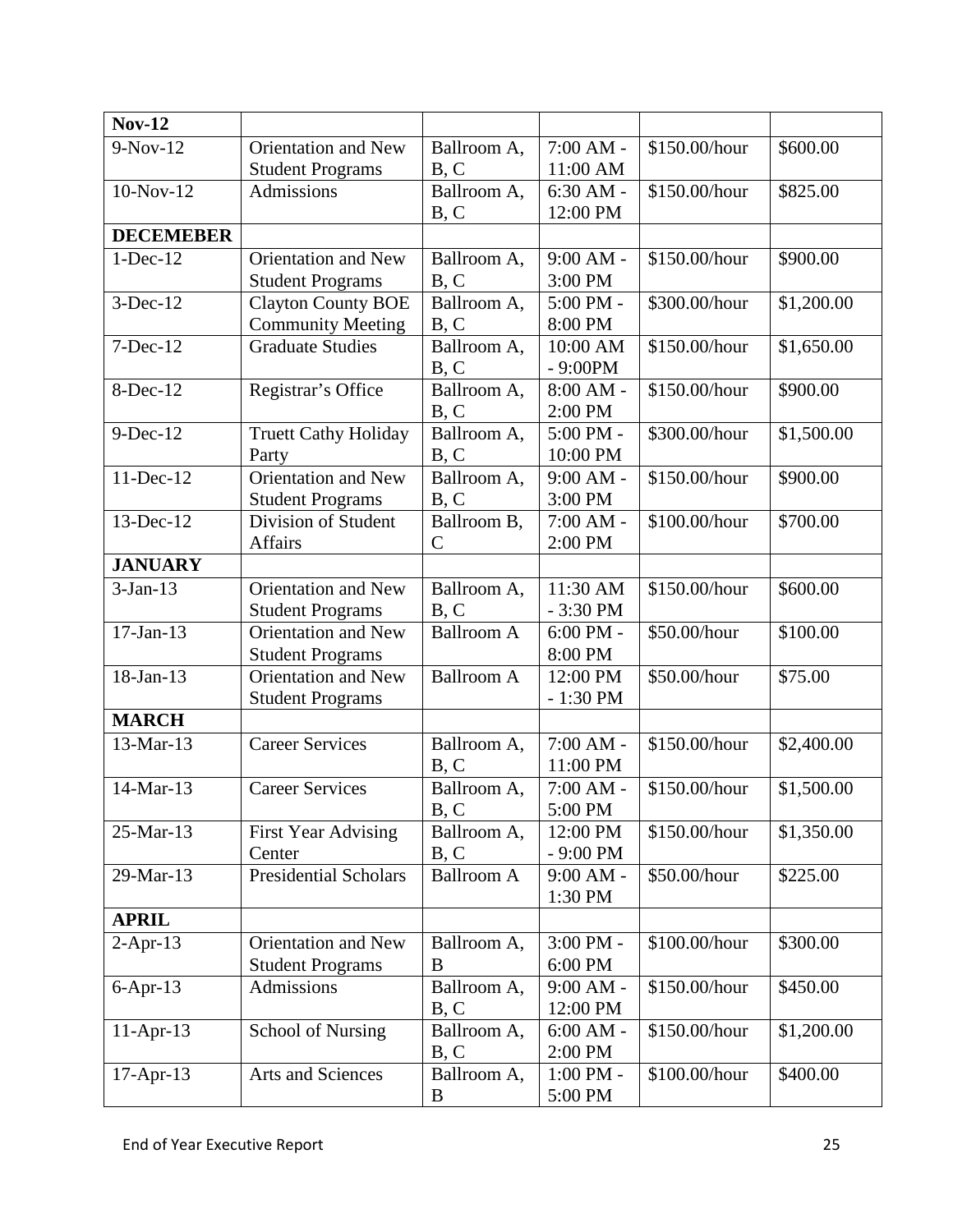| <b>Nov-12</b>              |                              |                   |             |               |            |
|----------------------------|------------------------------|-------------------|-------------|---------------|------------|
| $9-Nov-12$                 | Orientation and New          | Ballroom A,       | $7:00$ AM - | \$150.00/hour | \$600.00   |
|                            | <b>Student Programs</b>      | B, C              | 11:00 AM    |               |            |
| $10-Nov-12$                | Admissions                   | Ballroom A,       | $6:30$ AM - | \$150.00/hour | \$825.00   |
|                            |                              | B, C              | 12:00 PM    |               |            |
| <b>DECEMEBER</b>           |                              |                   |             |               |            |
| $1$ -Dec- $12$             | Orientation and New          | Ballroom A,       | $9:00 AM -$ | \$150.00/hour | \$900.00   |
|                            | <b>Student Programs</b>      | B, C              | 3:00 PM     |               |            |
| $3-Dec-12$                 | <b>Clayton County BOE</b>    | Ballroom A,       | $5:00$ PM - | \$300.00/hour | \$1,200.00 |
|                            | <b>Community Meeting</b>     | B, C              | 8:00 PM     |               |            |
| $7 - Dec-12$               | <b>Graduate Studies</b>      | Ballroom A,       | 10:00 AM    | \$150.00/hour | \$1,650.00 |
|                            |                              | B, C              | $-9:00PM$   |               |            |
| 8-Dec-12                   | Registrar's Office           | Ballroom A,       | $8:00 AM -$ | \$150.00/hour | \$900.00   |
|                            |                              | B, C              | 2:00 PM     |               |            |
| $9-Dec-12$                 | <b>Truett Cathy Holiday</b>  | Ballroom A,       | $5:00$ PM - | \$300.00/hour | \$1,500.00 |
|                            | Party                        | B, C              | 10:00 PM    |               |            |
| $11$ -Dec-12               | Orientation and New          | Ballroom A,       | $9:00$ AM - | \$150.00/hour | \$900.00   |
|                            | <b>Student Programs</b>      | B, C              | 3:00 PM     |               |            |
| 13-Dec-12                  | Division of Student          | Ballroom B,       | $7:00$ AM - | \$100.00/hour | \$700.00   |
|                            | <b>Affairs</b>               | $\mathcal{C}$     | 2:00 PM     |               |            |
| <b>JANUARY</b>             |                              |                   |             |               |            |
| $3-Jan-13$                 | Orientation and New          | Ballroom A,       | 11:30 AM    | \$150.00/hour | \$600.00   |
|                            | <b>Student Programs</b>      | B, C              | $-3:30$ PM  |               |            |
| $17-Jan-13$                | Orientation and New          | <b>Ballroom A</b> | $6:00$ PM - | \$50.00/hour  | \$100.00   |
|                            | <b>Student Programs</b>      |                   | 8:00 PM     |               |            |
| $18$ -Jan- $\overline{13}$ | Orientation and New          | <b>Ballroom A</b> | 12:00 PM    | \$50.00/hour  | \$75.00    |
|                            | <b>Student Programs</b>      |                   | $-1:30$ PM  |               |            |
| <b>MARCH</b>               |                              |                   |             |               |            |
| 13-Mar-13                  | <b>Career Services</b>       | Ballroom A,       | $7:00$ AM - | \$150.00/hour | \$2,400.00 |
|                            |                              | B, C              | 11:00 PM    |               |            |
| 14-Mar-13                  | <b>Career Services</b>       | Ballroom A,       | $7:00$ AM - | \$150.00/hour | \$1,500.00 |
|                            |                              | B, C              | 5:00 PM     |               |            |
| 25-Mar-13                  | <b>First Year Advising</b>   | Ballroom A,       | 12:00 PM    | \$150.00/hour | \$1,350.00 |
|                            | Center                       | B, C              | - 9:00 PM   |               |            |
| 29-Mar-13                  | <b>Presidential Scholars</b> | <b>Ballroom A</b> | $9:00 AM -$ | \$50.00/hour  | \$225.00   |
|                            |                              |                   | 1:30 PM     |               |            |
| <b>APRIL</b>               |                              |                   |             |               |            |
| $2-Apr-13$                 | Orientation and New          | Ballroom A,       | $3:00$ PM - | \$100.00/hour | \$300.00   |
|                            | <b>Student Programs</b>      | B                 | 6:00 PM     |               |            |
| $6-Apr-13$                 | Admissions                   | Ballroom A,       | $9:00 AM -$ | \$150.00/hour | \$450.00   |
|                            |                              | B, C              | 12:00 PM    |               |            |
| $11-Apr-13$                | School of Nursing            | Ballroom A,       | $6:00 AM -$ | \$150.00/hour | \$1,200.00 |
|                            |                              | B, C              | 2:00 PM     |               |            |
| $17-Apr-13$                | Arts and Sciences            | Ballroom A,       | $1:00$ PM - | \$100.00/hour | \$400.00   |
|                            |                              | B                 | 5:00 PM     |               |            |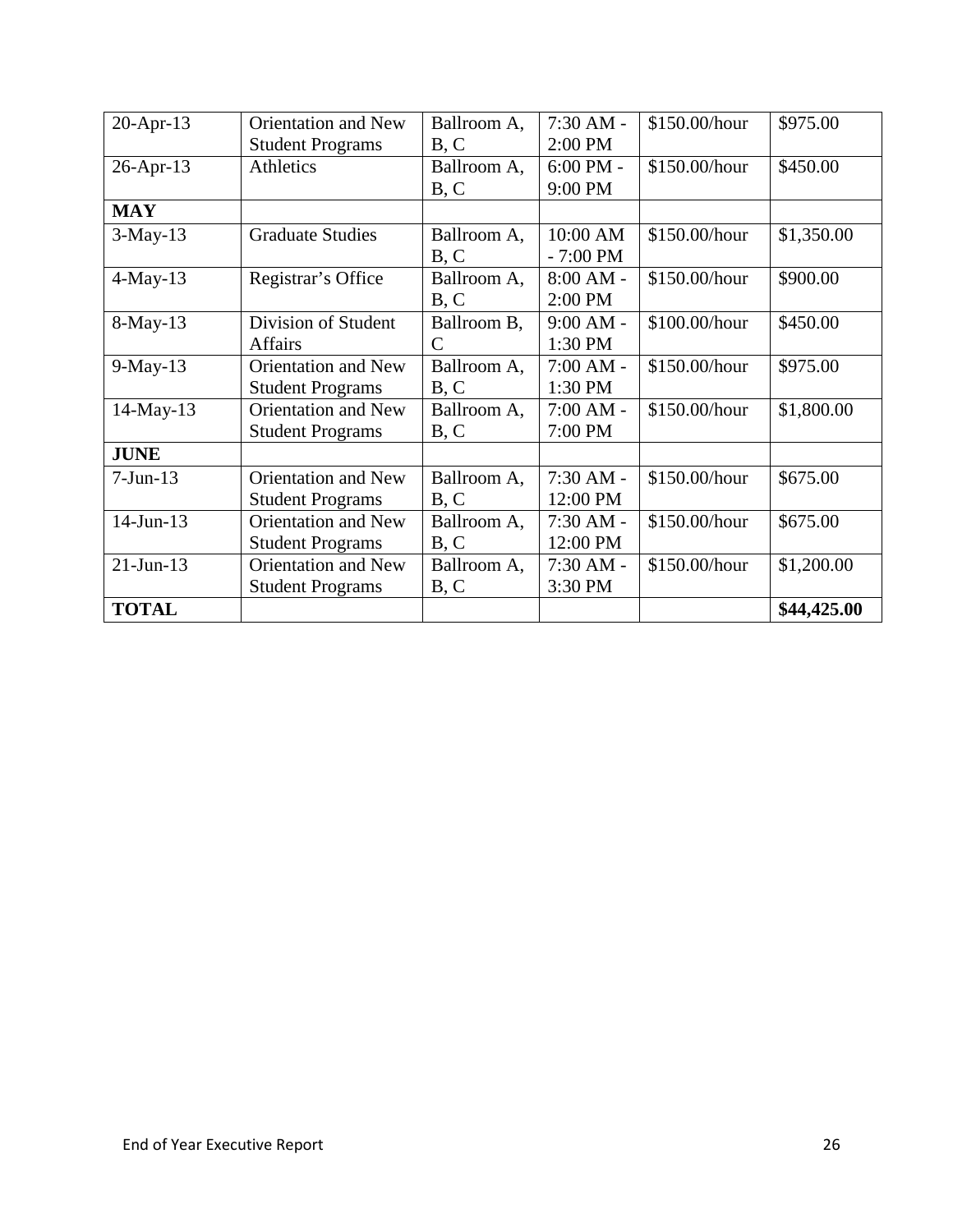| $20$ -Apr-13    | <b>Orientation and New</b> | Ballroom A,   | $7:30 AM -$ | \$150.00/hour | \$975.00    |
|-----------------|----------------------------|---------------|-------------|---------------|-------------|
|                 | <b>Student Programs</b>    | B, C          | 2:00 PM     |               |             |
| 26-Apr-13       | Athletics                  | Ballroom A,   | $6:00$ PM - | \$150.00/hour | \$450.00    |
|                 |                            | B, C          | 9:00 PM     |               |             |
| <b>MAY</b>      |                            |               |             |               |             |
| $3-May-13$      | <b>Graduate Studies</b>    | Ballroom A,   | 10:00 AM    | \$150.00/hour | \$1,350.00  |
|                 |                            | B, C          | $-7:00$ PM  |               |             |
| $4$ -May-13     | Registrar's Office         | Ballroom A,   | $8:00 AM -$ | \$150.00/hour | \$900.00    |
|                 |                            | B, C          | 2:00 PM     |               |             |
| $8-May-13$      | Division of Student        | Ballroom B,   | $9:00 AM -$ | \$100.00/hour | \$450.00    |
|                 | <b>Affairs</b>             | $\mathcal{C}$ | 1:30 PM     |               |             |
| $9-May-13$      | Orientation and New        | Ballroom A,   | $7:00 AM -$ | \$150.00/hour | \$975.00    |
|                 | <b>Student Programs</b>    | B, C          | 1:30 PM     |               |             |
| $14$ -May-13    | <b>Orientation and New</b> | Ballroom A,   | $7:00 AM -$ | \$150.00/hour | \$1,800.00  |
|                 | <b>Student Programs</b>    | B, C          | 7:00 PM     |               |             |
| <b>JUNE</b>     |                            |               |             |               |             |
| $7-Jun-13$      | Orientation and New        | Ballroom A,   | 7:30 AM -   | \$150.00/hour | \$675.00    |
|                 | <b>Student Programs</b>    | B, C          | 12:00 PM    |               |             |
| $14$ -Jun- $13$ | <b>Orientation and New</b> | Ballroom A,   | $7:30$ AM - | \$150.00/hour | \$675.00    |
|                 | <b>Student Programs</b>    | B, C          | 12:00 PM    |               |             |
| $21$ -Jun-13    | Orientation and New        | Ballroom A,   | $7:30$ AM - | \$150.00/hour | \$1,200.00  |
|                 | <b>Student Programs</b>    | B, C          | 3:30 PM     |               |             |
| <b>TOTAL</b>    |                            |               |             |               | \$44,425.00 |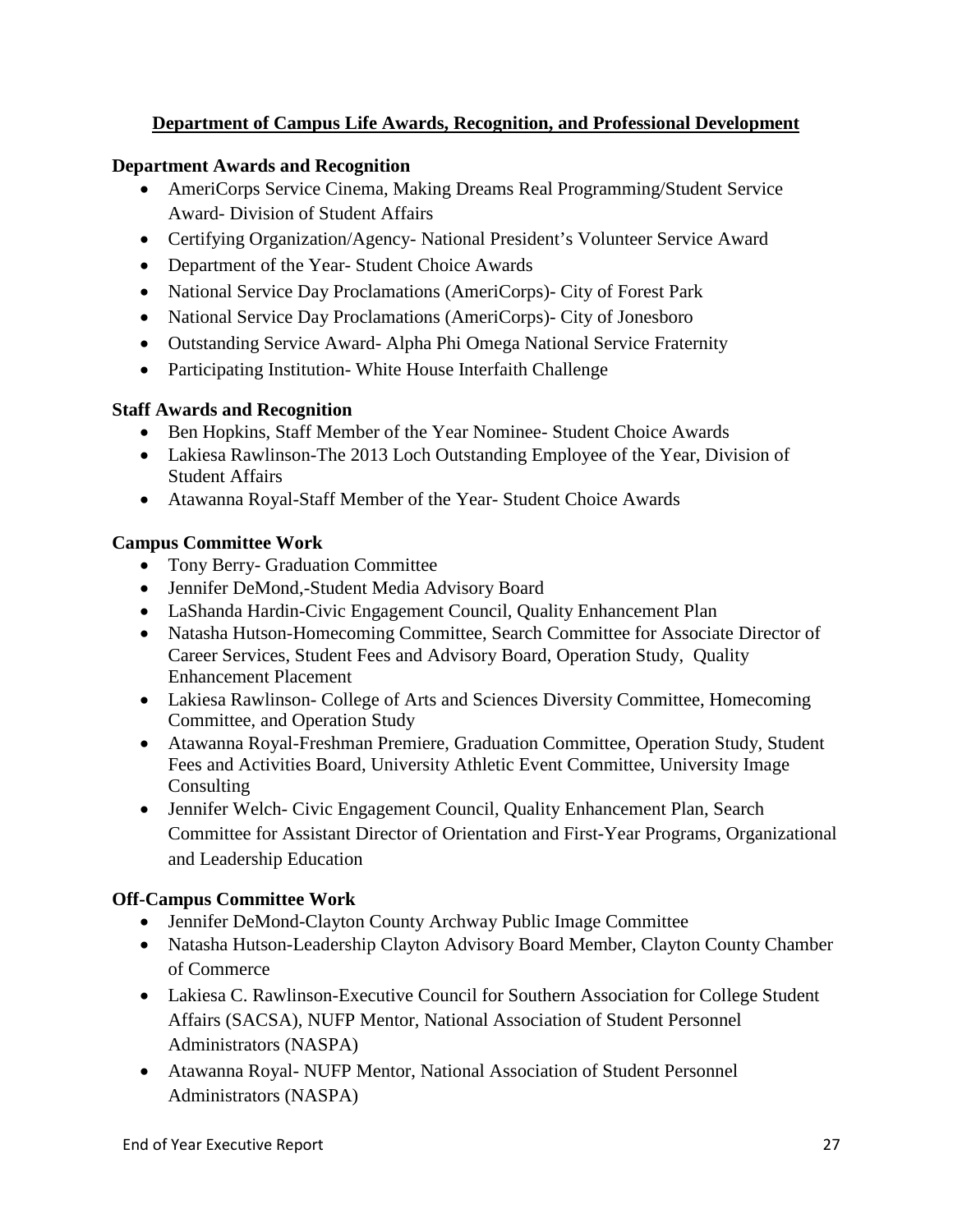# **Department of Campus Life Awards, Recognition, and Professional Development**

## **Department Awards and Recognition**

- AmeriCorps Service Cinema, Making Dreams Real Programming/Student Service Award- Division of Student Affairs
- Certifying Organization/Agency- National President's Volunteer Service Award
- Department of the Year- Student Choice Awards
- National Service Day Proclamations (AmeriCorps)- City of Forest Park
- National Service Day Proclamations (AmeriCorps) City of Jonesboro
- Outstanding Service Award- Alpha Phi Omega National Service Fraternity
- Participating Institution-White House Interfaith Challenge

## **Staff Awards and Recognition**

- Ben Hopkins, Staff Member of the Year Nominee- Student Choice Awards
- Lakiesa Rawlinson-The 2013 Loch Outstanding Employee of the Year, Division of Student Affairs
- Atawanna Royal-Staff Member of the Year- Student Choice Awards

# **Campus Committee Work**

- Tony Berry- Graduation Committee
- Jennifer DeMond,-Student Media Advisory Board
- LaShanda Hardin-Civic Engagement Council, Quality Enhancement Plan
- Natasha Hutson-Homecoming Committee, Search Committee for Associate Director of Career Services, Student Fees and Advisory Board, Operation Study, Quality Enhancement Placement
- Lakiesa Rawlinson- College of Arts and Sciences Diversity Committee, Homecoming Committee, and Operation Study
- Atawanna Royal-Freshman Premiere, Graduation Committee, Operation Study, Student Fees and Activities Board, University Athletic Event Committee, University Image **Consulting**
- Jennifer Welch- Civic Engagement Council, Quality Enhancement Plan, Search Committee for Assistant Director of Orientation and First-Year Programs, Organizational and Leadership Education

## **Off-Campus Committee Work**

- Jennifer DeMond-Clayton County Archway Public Image Committee
- Natasha Hutson-Leadership Clayton Advisory Board Member, Clayton County Chamber of Commerce
- Lakiesa C. Rawlinson-Executive Council for Southern Association for College Student Affairs (SACSA), NUFP Mentor, National Association of Student Personnel Administrators (NASPA)
- Atawanna Royal- NUFP Mentor, National Association of Student Personnel Administrators (NASPA)